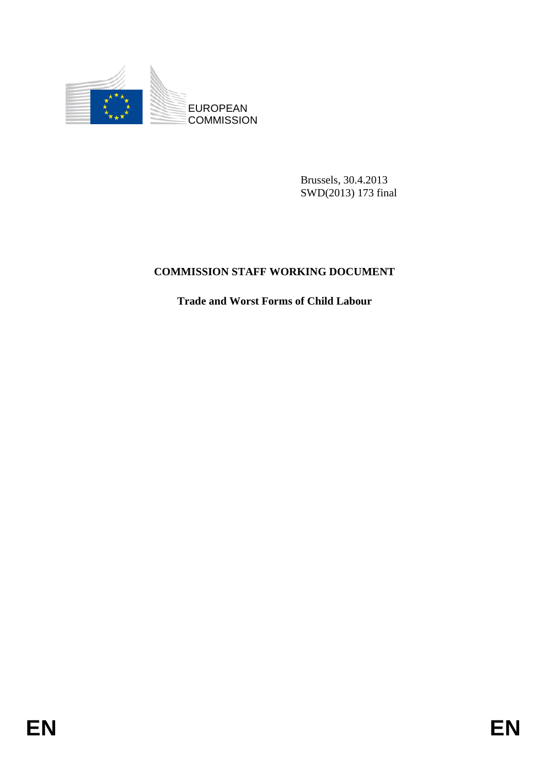

Brussels, 30.4.2013 SWD(2013) 173 final

## **COMMISSION STAFF WORKING DOCUMENT**

**Trade and Worst Forms of Child Labour**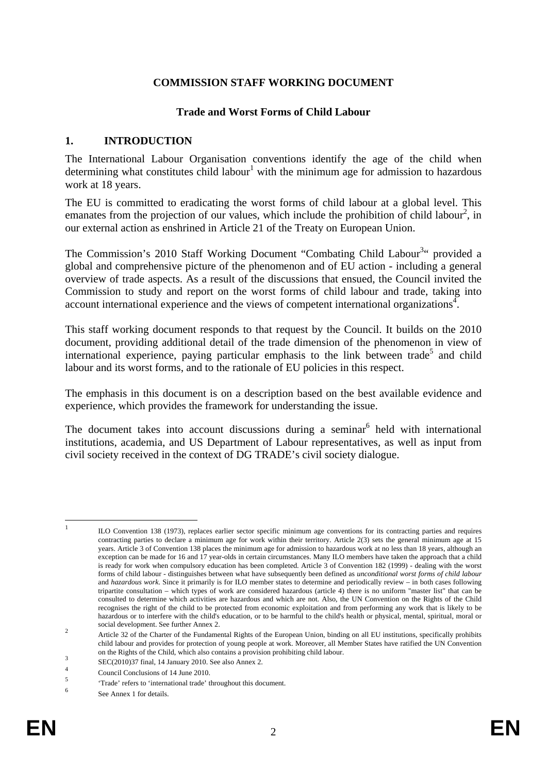#### **COMMISSION STAFF WORKING DOCUMENT**

#### **Trade and Worst Forms of Child Labour**

#### **1. INTRODUCTION**

The International Labour Organisation conventions identify the age of the child when determining what constitutes child labour<sup>1</sup> with the minimum age for admission to hazardous work at 18 years.

The EU is committed to eradicating the worst forms of child labour at a global level. This emanates from the projection of our values, which include the prohibition of child labour<sup>2</sup>, in our external action as enshrined in Article 21 of the Treaty on European Union.

The Commission's 2010 Staff Working Document "Combating Child Labour<sup>3</sup>" provided a global and comprehensive picture of the phenomenon and of EU action - including a general overview of trade aspects. As a result of the discussions that ensued, the Council invited the Commission to study and report on the worst forms of child labour and trade, taking into account international experience and the views of competent international organizations<sup>4</sup>.

This staff working document responds to that request by the Council. It builds on the 2010 document, providing additional detail of the trade dimension of the phenomenon in view of international experience, paying particular emphasis to the link between trade<sup>5</sup> and child labour and its worst forms, and to the rationale of EU policies in this respect.

The emphasis in this document is on a description based on the best available evidence and experience, which provides the framework for understanding the issue.

The document takes into account discussions during a seminar<sup>6</sup> held with international institutions, academia, and US Department of Labour representatives, as well as input from civil society received in the context of DG TRADE's civil society dialogue.

 $\mathbf{1}$ 

<sup>1</sup> ILO Convention 138 (1973), replaces earlier sector specific minimum age conventions for its contracting parties and requires contracting parties to declare a minimum age for work within their territory. Article 2(3) sets the general minimum age at 15 years. Article 3 of Convention 138 places the minimum age for admission to hazardous work at no less than 18 years, although an exception can be made for 16 and 17 year-olds in certain circumstances. Many ILO members have taken the approach that a child is ready for work when compulsory education has been completed. Article 3 of Convention 182 (1999) - dealing with the worst forms of child labour - distinguishes between what have subsequently been defined as *unconditional worst forms of child labour*  and *hazardous work*. Since it primarily is for ILO member states to determine and periodically review – in both cases following tripartite consultation – which types of work are considered hazardous (article 4) there is no uniform "master list" that can be consulted to determine which activities are hazardous and which are not. Also, the UN Convention on the Rights of the Child recognises the right of the child to be protected from economic exploitation and from performing any work that is likely to be hazardous or to interfere with the child's education, or to be harmful to the child's health or physical, mental, spiritual, moral or

social development. See further Annex 2.<br>
Article 32 of the Charter of the Fundamental Rights of the European Union, binding on all EU institutions, specifically prohibits child labour and provides for protection of young people at work. Moreover, all Member States have ratified the UN Convention on the Rights of the Child, which also contains a provision prohibiting child labour.<br>SEC(2010)37 final, 14 January 2010. See also Annex 2.

<sup>4</sup>  $\frac{4}{5}$  Council Conclusions of 14 June 2010.

<sup>5</sup> 'Trade' refers to 'international trade' throughout this document.

<sup>6</sup> See Annex 1 for details.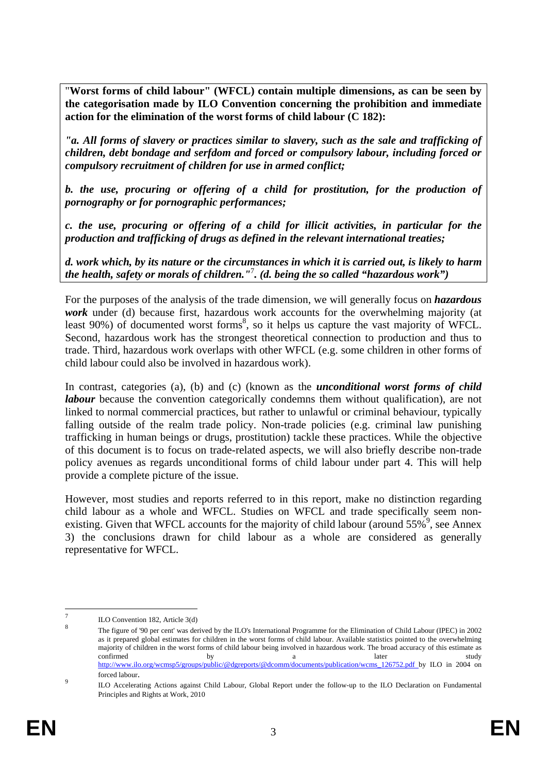"**Worst forms of child labour" (WFCL) contain multiple dimensions, as can be seen by the categorisation made by ILO Convention concerning the prohibition and immediate action for the elimination of the worst forms of child labour (C 182):**

*"a. All forms of slavery or practices similar to slavery, such as the sale and trafficking of children, debt bondage and serfdom and forced or compulsory labour, including forced or compulsory recruitment of children for use in armed conflict;* 

*b. the use, procuring or offering of a child for prostitution, for the production of pornography or for pornographic performances;* 

*c. the use, procuring or offering of a child for illicit activities, in particular for the production and trafficking of drugs as defined in the relevant international treaties;* 

*d. work which, by its nature or the circumstances in which it is carried out, is likely to harm the health, safety or morals of children."*<sup>7</sup> *. (d. being the so called "hazardous work")* 

For the purposes of the analysis of the trade dimension, we will generally focus on *hazardous work* under (d) because first, hazardous work accounts for the overwhelming majority (at least 90%) of documented worst forms<sup>8</sup>, so it helps us capture the vast majority of WFCL. Second, hazardous work has the strongest theoretical connection to production and thus to trade. Third, hazardous work overlaps with other WFCL (e.g. some children in other forms of child labour could also be involved in hazardous work).

In contrast, categories (a), (b) and (c) (known as the *unconditional worst forms of child labour* because the convention categorically condemns them without qualification), are not linked to normal commercial practices, but rather to unlawful or criminal behaviour, typically falling outside of the realm trade policy. Non-trade policies (e.g. criminal law punishing trafficking in human beings or drugs, prostitution) tackle these practices. While the objective of this document is to focus on trade-related aspects, we will also briefly describe non-trade policy avenues as regards unconditional forms of child labour under part 4. This will help provide a complete picture of the issue.

However, most studies and reports referred to in this report, make no distinction regarding child labour as a whole and WFCL. Studies on WFCL and trade specifically seem nonexisting. Given that WFCL accounts for the majority of child labour (around  $55\%^9$ , see Annex 3) the conclusions drawn for child labour as a whole are considered as generally representative for WFCL.

<sup>—&</sup>lt;br>7  $\frac{7}{8}$  ILO Convention 182, Article 3(d)

<sup>8</sup> The figure of '90 per cent' was derived by the ILO's International Programme for the Elimination of Child Labour (IPEC) in 2002 as it prepared global estimates for children in the worst forms of child labour. Available statistics pointed to the overwhelming majority of children in the worst forms of child labour being involved in hazardous work. The broad accuracy of this estimate as confirmed by by a later study study [http://www.ilo.org/wcmsp5/groups/public/@dgrep](http://www.ilo.org/wcmsp5/groups/public/@dgreports/@dcomm/documents/publication/wcms_126752.pdf)orts/@dcomm/documents/publication/wcms\_126752.pdf by ILO in 2004 on forced labour.

ILO Accelerating Actions against Child Labour, Global Report under the follow-up to the ILO Declaration on Fundamental Principles and Rights at Work, 2010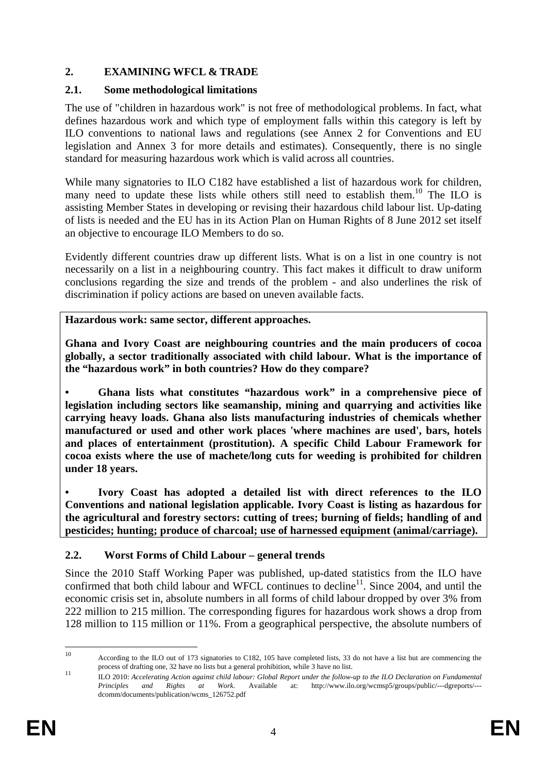## **2. EXAMINING WFCL & TRADE**

#### **2.1. Some methodological limitations**

The use of "children in hazardous work" is not free of methodological problems. In fact, what defines hazardous work and which type of employment falls within this category is left by ILO conventions to national laws and regulations (see Annex 2 for Conventions and EU legislation and Annex 3 for more details and estimates). Consequently, there is no single standard for measuring hazardous work which is valid across all countries.

While many signatories to ILO C182 have established a list of hazardous work for children, many need to update these lists while others still need to establish them.<sup>10</sup> The ILO is assisting Member States in developing or revising their hazardous child labour list. Up-dating of lists is needed and the EU has in its Action Plan on Human Rights of 8 June 2012 set itself an objective to encourage ILO Members to do so.

Evidently different countries draw up different lists. What is on a list in one country is not necessarily on a list in a neighbouring country. This fact makes it difficult to draw uniform conclusions regarding the size and trends of the problem - and also underlines the risk of discrimination if policy actions are based on uneven available facts.

**Hazardous work: same sector, different approaches.** 

**Ghana and Ivory Coast are neighbouring countries and the main producers of cocoa globally, a sector traditionally associated with child labour. What is the importance of the "hazardous work" in both countries? How do they compare?** 

**• Ghana lists what constitutes "hazardous work" in a comprehensive piece of legislation including sectors like seamanship, mining and quarrying and activities like carrying heavy loads. Ghana also lists manufacturing industries of chemicals whether manufactured or used and other work places 'where machines are used', bars, hotels and places of entertainment (prostitution). A specific Child Labour Framework for cocoa exists where the use of machete/long cuts for weeding is prohibited for children under 18 years.** 

**• Ivory Coast has adopted a detailed list with direct references to the ILO Conventions and national legislation applicable. Ivory Coast is listing as hazardous for the agricultural and forestry sectors: cutting of trees; burning of fields; handling of and pesticides; hunting; produce of charcoal; use of harnessed equipment (animal/carriage).** 

#### **2.2. Worst Forms of Child Labour – general trends**

Since the 2010 Staff Working Paper was published, up-dated statistics from the ILO have confirmed that both child labour and WFCL continues to decline<sup>11</sup>. Since 2004, and until the economic crisis set in, absolute numbers in all forms of child labour dropped by over 3% from 222 million to 215 million. The corresponding figures for hazardous work shows a drop from 128 million to 115 million or 11%. From a geographical perspective, the absolute numbers of

 $10$ According to the ILO out of 173 signatories to C182, 105 have completed lists, 33 do not have a list but are commencing the process of drafting one, 32 have no lists but a general prohibition, while 3 have no list.<br>ILO 2010: Accelerating Action against child labour: Global Report under the follow-up to the ILO Declaration on Fundamental

*Principles and Rights at Work.* Available at: http://www.ilo.org/wcmsp5/groups/public/---dgreports/-- dcomm/documents/publication/wcms\_126752.pdf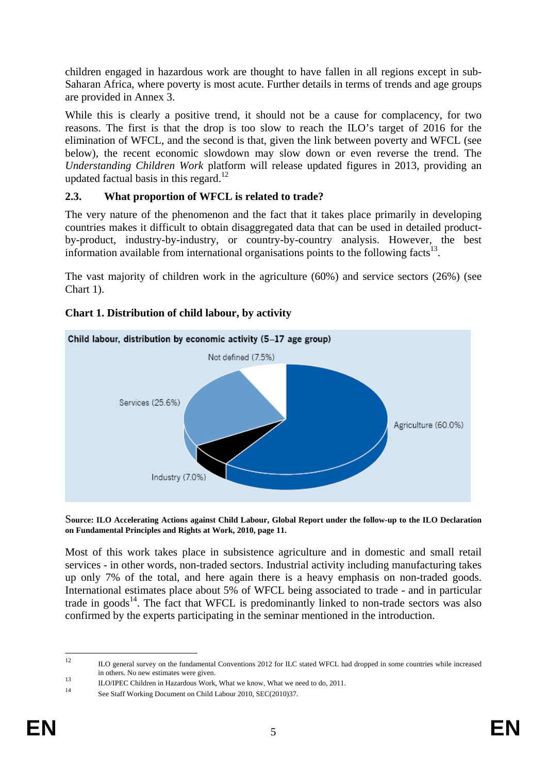children engaged in hazardous work are thought to have fallen in all regions except in sub-Saharan Africa, where poverty is most acute. Further details in terms of trends and age groups are provided in Annex 3.

While this is clearly a positive trend, it should not be a cause for complacency, for two reasons. The first is that the drop is too slow to reach the ILO's target of 2016 for the elimination of WFCL, and the second is that, given the link between poverty and WFCL (see below), the recent economic slowdown may slow down or even reverse the trend. The *Understanding Children Work* platform will release updated figures in 2013, providing an updated factual basis in this regard.<sup>12</sup>

## **2.3. What proportion of WFCL is related to trade?**

The very nature of the phenomenon and the fact that it takes place primarily in developing countries makes it difficult to obtain disaggregated data that can be used in detailed productby-product, industry-by-industry, or country-by-country analysis. However, the best information available from international organisations points to the following facts<sup>13</sup>.

The vast majority of children work in the agriculture (60%) and service sectors (26%) (see Chart 1).

# Child labour, distribution by economic activity (5-17 age group) Not defined (7.5%) Services (25.6%) Agriculture (60.0%) Industry (7.0%)

## **Chart 1. Distribution of child labour, by activity**

S**ource: ILO Accelerating Actions against Child Labour, Global Report under the follow-up to the ILO Declaration on Fundamental Principles and Rights at Work, 2010, page 11.** 

Most of this work takes place in subsistence agriculture and in domestic and small retail services - in other words, non-traded sectors. Industrial activity including manufacturing takes up only 7% of the total, and here again there is a heavy emphasis on non-traded goods. International estimates place about 5% of WFCL being associated to trade - and in particular trade in goods<sup>14</sup>. The fact that WFCL is predominantly linked to non-trade sectors was also confirmed by the experts participating in the seminar mentioned in the introduction.

 $12$ 12 ILO general survey on the fundamental Conventions 2012 for ILC stated WFCL had dropped in some countries while increased

in others. No new estimates were given.<br>
13 ILO/IPEC Children in Hazardous Work, What we know, What we need to do, 2011.<br>
14 See Staff Working Document on Child Labour 2010, SEC(2010)37.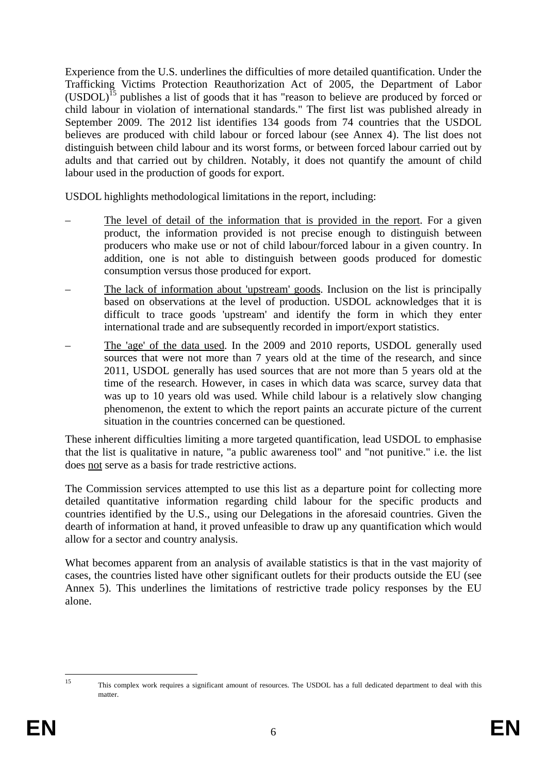Experience from the U.S. underlines the difficulties of more detailed quantification. Under the Trafficking Victims Protection Reauthorization Act of 2005, the Department of Labor (USDOL)15 publishes a list of goods that it has "reason to believe are produced by forced or child labour in violation of international standards." The first list was published already in September 2009. The 2012 list identifies 134 goods from 74 countries that the USDOL believes are produced with child labour or forced labour (see Annex 4). The list does not distinguish between child labour and its worst forms, or between forced labour carried out by adults and that carried out by children. Notably, it does not quantify the amount of child labour used in the production of goods for export.

USDOL highlights methodological limitations in the report, including:

- The level of detail of the information that is provided in the report. For a given product, the information provided is not precise enough to distinguish between producers who make use or not of child labour/forced labour in a given country. In addition, one is not able to distinguish between goods produced for domestic consumption versus those produced for export.
- The lack of information about 'upstream' goods. Inclusion on the list is principally based on observations at the level of production. USDOL acknowledges that it is difficult to trace goods 'upstream' and identify the form in which they enter international trade and are subsequently recorded in import/export statistics.
- The 'age' of the data used. In the 2009 and 2010 reports, USDOL generally used sources that were not more than 7 years old at the time of the research, and since 2011, USDOL generally has used sources that are not more than 5 years old at the time of the research. However, in cases in which data was scarce, survey data that was up to 10 years old was used. While child labour is a relatively slow changing phenomenon, the extent to which the report paints an accurate picture of the current situation in the countries concerned can be questioned.

These inherent difficulties limiting a more targeted quantification, lead USDOL to emphasise that the list is qualitative in nature, "a public awareness tool" and "not punitive." i.e. the list does not serve as a basis for trade restrictive actions.

The Commission services attempted to use this list as a departure point for collecting more detailed quantitative information regarding child labour for the specific products and countries identified by the U.S., using our Delegations in the aforesaid countries. Given the dearth of information at hand, it proved unfeasible to draw up any quantification which would allow for a sector and country analysis.

What becomes apparent from an analysis of available statistics is that in the vast majority of cases, the countries listed have other significant outlets for their products outside the EU (see Annex 5). This underlines the limitations of restrictive trade policy responses by the EU alone.

 $15$ 15 This complex work requires a significant amount of resources. The USDOL has a full dedicated department to deal with this matter.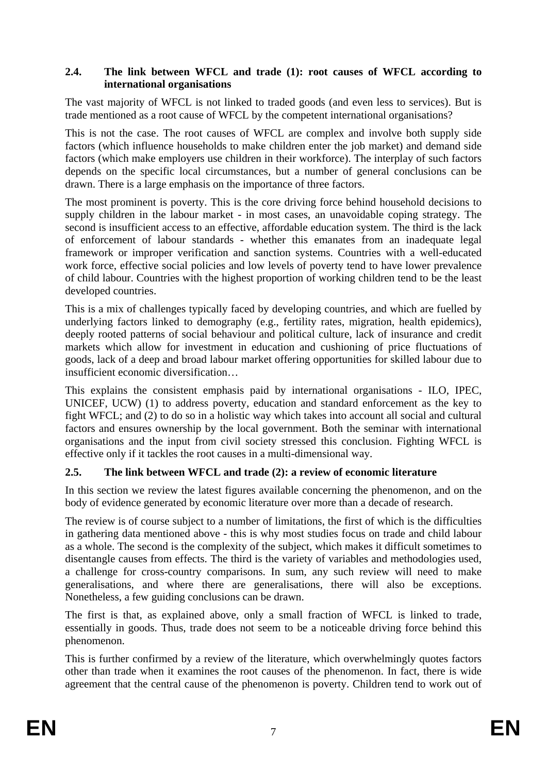#### **2.4. The link between WFCL and trade (1): root causes of WFCL according to international organisations**

The vast majority of WFCL is not linked to traded goods (and even less to services). But is trade mentioned as a root cause of WFCL by the competent international organisations?

This is not the case. The root causes of WFCL are complex and involve both supply side factors (which influence households to make children enter the job market) and demand side factors (which make employers use children in their workforce). The interplay of such factors depends on the specific local circumstances, but a number of general conclusions can be drawn. There is a large emphasis on the importance of three factors.

The most prominent is poverty. This is the core driving force behind household decisions to supply children in the labour market - in most cases, an unavoidable coping strategy. The second is insufficient access to an effective, affordable education system. The third is the lack of enforcement of labour standards - whether this emanates from an inadequate legal framework or improper verification and sanction systems. Countries with a well-educated work force, effective social policies and low levels of poverty tend to have lower prevalence of child labour. Countries with the highest proportion of working children tend to be the least developed countries.

This is a mix of challenges typically faced by developing countries, and which are fuelled by underlying factors linked to demography (e.g., fertility rates, migration, health epidemics), deeply rooted patterns of social behaviour and political culture, lack of insurance and credit markets which allow for investment in education and cushioning of price fluctuations of goods, lack of a deep and broad labour market offering opportunities for skilled labour due to insufficient economic diversification…

This explains the consistent emphasis paid by international organisations - ILO, IPEC, UNICEF, UCW) (1) to address poverty, education and standard enforcement as the key to fight WFCL; and (2) to do so in a holistic way which takes into account all social and cultural factors and ensures ownership by the local government. Both the seminar with international organisations and the input from civil society stressed this conclusion. Fighting WFCL is effective only if it tackles the root causes in a multi-dimensional way.

#### **2.5. The link between WFCL and trade (2): a review of economic literature**

In this section we review the latest figures available concerning the phenomenon, and on the body of evidence generated by economic literature over more than a decade of research.

The review is of course subject to a number of limitations, the first of which is the difficulties in gathering data mentioned above - this is why most studies focus on trade and child labour as a whole. The second is the complexity of the subject, which makes it difficult sometimes to disentangle causes from effects. The third is the variety of variables and methodologies used, a challenge for cross-country comparisons. In sum, any such review will need to make generalisations, and where there are generalisations, there will also be exceptions. Nonetheless, a few guiding conclusions can be drawn.

The first is that, as explained above, only a small fraction of WFCL is linked to trade, essentially in goods. Thus, trade does not seem to be a noticeable driving force behind this phenomenon.

This is further confirmed by a review of the literature, which overwhelmingly quotes factors other than trade when it examines the root causes of the phenomenon. In fact, there is wide agreement that the central cause of the phenomenon is poverty. Children tend to work out of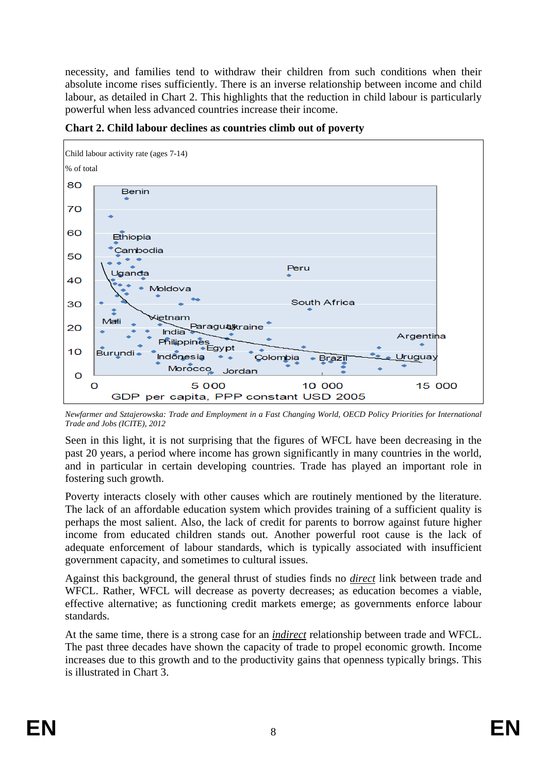necessity, and families tend to withdraw their children from such conditions when their absolute income rises sufficiently. There is an inverse relationship between income and child labour, as detailed in Chart 2. This highlights that the reduction in child labour is particularly powerful when less advanced countries increase their income.



**Chart 2. Child labour declines as countries climb out of poverty** 

*Newfarmer and Sztajerowska: Trade and Employment in a Fast Changing World, OECD Policy Priorities for International Trade and Jobs (ICITE), 2012* 

Seen in this light, it is not surprising that the figures of WFCL have been decreasing in the past 20 years, a period where income has grown significantly in many countries in the world, and in particular in certain developing countries. Trade has played an important role in fostering such growth.

Poverty interacts closely with other causes which are routinely mentioned by the literature. The lack of an affordable education system which provides training of a sufficient quality is perhaps the most salient. Also, the lack of credit for parents to borrow against future higher income from educated children stands out. Another powerful root cause is the lack of adequate enforcement of labour standards, which is typically associated with insufficient government capacity, and sometimes to cultural issues.

Against this background, the general thrust of studies finds no *direct* link between trade and WFCL. Rather, WFCL will decrease as poverty decreases; as education becomes a viable, effective alternative; as functioning credit markets emerge; as governments enforce labour standards.

At the same time, there is a strong case for an *indirect* relationship between trade and WFCL. The past three decades have shown the capacity of trade to propel economic growth. Income increases due to this growth and to the productivity gains that openness typically brings. This is illustrated in Chart 3.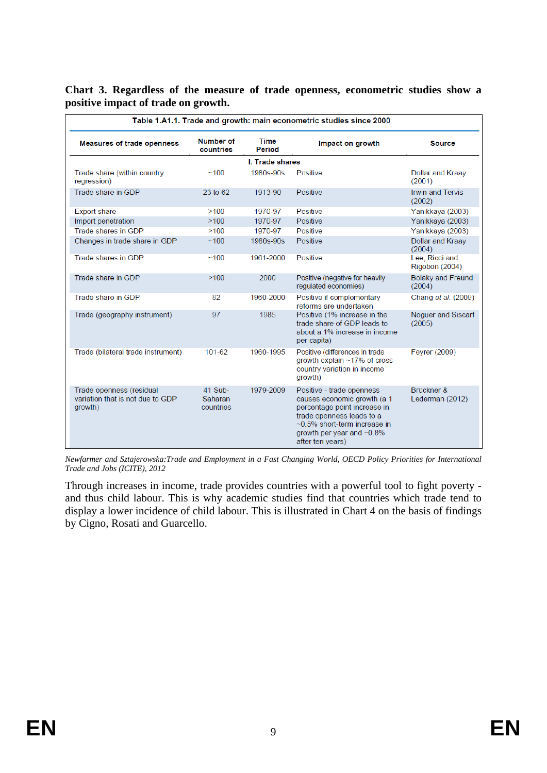| Table 1.A1.1. Trade and growth: main econometric studies since 2000     |                                 |                 |                                                                                                                                                                                                           |                                    |
|-------------------------------------------------------------------------|---------------------------------|-----------------|-----------------------------------------------------------------------------------------------------------------------------------------------------------------------------------------------------------|------------------------------------|
| <b>Measures of trade openness</b>                                       | Number of<br>countries          | Time<br>Period  | Impact on growth                                                                                                                                                                                          | <b>Source</b>                      |
|                                                                         |                                 | I. Trade shares |                                                                                                                                                                                                           |                                    |
| Trade share (within country<br>regression)                              | ~100                            | 1980s-90s       | Positive                                                                                                                                                                                                  | Dollar and Kraay<br>(2001)         |
| Trade share in GDP                                                      | 23 to 62                        | 1913-90         | Positive                                                                                                                                                                                                  | <b>Irwin and Tervis</b><br>(2002)  |
| <b>Export share</b>                                                     | >100                            | 1970-97         | Positive                                                                                                                                                                                                  | Yanikkaya (2003)                   |
| Import penetration                                                      | >100                            | 1970-97         | Positive                                                                                                                                                                                                  | Yanikkaya (2003)                   |
| Trade shares in GDP                                                     | >100                            | 1970-97         | Positive                                                                                                                                                                                                  | Yanikkaya (2003)                   |
| Changes in trade share in GDP                                           | ~100                            | 1980s-90s       | Positive                                                                                                                                                                                                  | Dollar and Kraay<br>(2004)         |
| Trade shares in GDP                                                     | ~100                            | 1961-2000       | Positive                                                                                                                                                                                                  | Lee, Ricci and<br>Rigobon (2004)   |
| Trade share in GDP                                                      | >100                            | 2000            | Positive (negative for heavily<br>regulated economies)                                                                                                                                                    | <b>Bolaky and Freund</b><br>(2004) |
| Trade share in GDP                                                      | 82                              | 1960-2000       | Positive if complementary<br>reforms are undertaken                                                                                                                                                       | Chang et al. (2009)                |
| Trade (geography instrument)                                            | 97                              | 1985            | Positive (1% increase in the<br>trade share of GDP leads to<br>about a 1% increase in income<br>per capita)                                                                                               | Noquer and Siscart<br>(2005)       |
| Trade (bilateral trade instrument)                                      | 101-62                          | 1960-1995       | Positive (differences in trade<br>growth explain ~17% of cross-<br>country variation in income<br>growth)                                                                                                 | Feyrer (2009)                      |
| Trade openness (residual<br>variation that is not due to GDP<br>growth) | 41 Sub-<br>Saharan<br>countries | 1979-2009       | Positive - trade openness<br>causes economic growth (a 1<br>percentage point increase in<br>trade openness leads to a<br>~0.5% short-term increase in<br>growth per year and $~0.8\%$<br>after ten years) | Brückner &<br>Lederman (2012)      |

#### **Chart 3. Regardless of the measure of trade openness, econometric studies show a positive impact of trade on growth.**

*Newfarmer and Sztajerowska:Trade and Employment in a Fast Changing World, OECD Policy Priorities for International Trade and Jobs (ICITE), 2012* 

Through increases in income, trade provides countries with a powerful tool to fight poverty and thus child labour. This is why academic studies find that countries which trade tend to display a lower incidence of child labour. This is illustrated in Chart 4 on the basis of findings by Cigno, Rosati and Guarcello.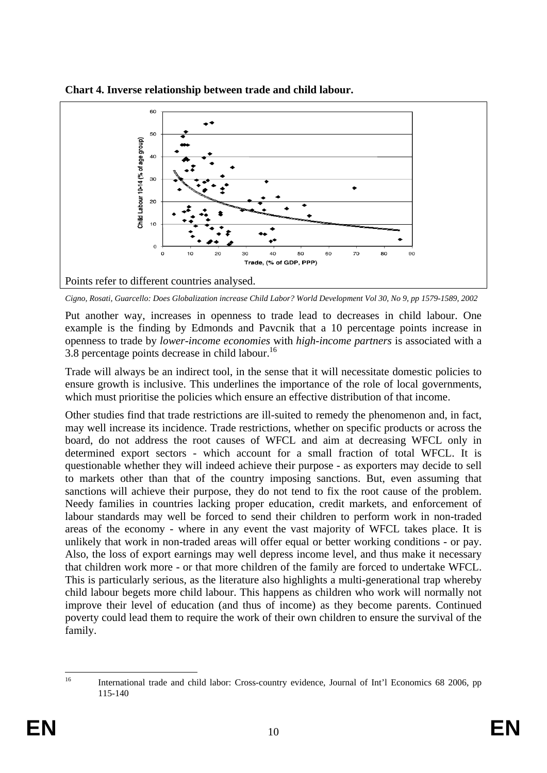

**Chart 4. Inverse relationship between trade and child labour.** 

Put another way, increases in openness to trade lead to decreases in child labour. One example is the finding by Edmonds and Pavcnik that a 10 percentage points increase in openness to trade by *lower-income economies* with *high-income partners* is associated with a 3.8 percentage points decrease in child labour.<sup>16</sup>

Trade will always be an indirect tool, in the sense that it will necessitate domestic policies to ensure growth is inclusive. This underlines the importance of the role of local governments, which must prioritise the policies which ensure an effective distribution of that income.

Other studies find that trade restrictions are ill-suited to remedy the phenomenon and, in fact, may well increase its incidence. Trade restrictions, whether on specific products or across the board, do not address the root causes of WFCL and aim at decreasing WFCL only in determined export sectors - which account for a small fraction of total WFCL. It is questionable whether they will indeed achieve their purpose - as exporters may decide to sell to markets other than that of the country imposing sanctions. But, even assuming that sanctions will achieve their purpose, they do not tend to fix the root cause of the problem. Needy families in countries lacking proper education, credit markets, and enforcement of labour standards may well be forced to send their children to perform work in non-traded areas of the economy - where in any event the vast majority of WFCL takes place. It is unlikely that work in non-traded areas will offer equal or better working conditions - or pay. Also, the loss of export earnings may well depress income level, and thus make it necessary that children work more - or that more children of the family are forced to undertake WFCL. This is particularly serious, as the literature also highlights a multi-generational trap whereby child labour begets more child labour. This happens as children who work will normally not improve their level of education (and thus of income) as they become parents. Continued poverty could lead them to require the work of their own children to ensure the survival of the family.

*Cigno, Rosati, Guarcello: Does Globalization increase Child Labor? World Development Vol 30, No 9, pp 1579-1589, 2002* 

 $16$ 16 International trade and child labor: Cross-country evidence, Journal of Int'l Economics 68 2006, pp 115-140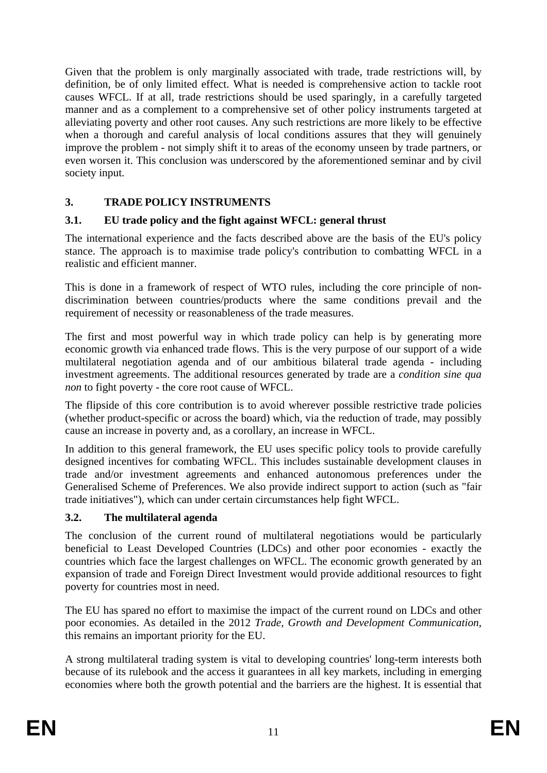Given that the problem is only marginally associated with trade, trade restrictions will, by definition, be of only limited effect. What is needed is comprehensive action to tackle root causes WFCL. If at all, trade restrictions should be used sparingly, in a carefully targeted manner and as a complement to a comprehensive set of other policy instruments targeted at alleviating poverty and other root causes. Any such restrictions are more likely to be effective when a thorough and careful analysis of local conditions assures that they will genuinely improve the problem - not simply shift it to areas of the economy unseen by trade partners, or even worsen it. This conclusion was underscored by the aforementioned seminar and by civil society input.

## **3. TRADE POLICY INSTRUMENTS**

#### **3.1. EU trade policy and the fight against WFCL: general thrust**

The international experience and the facts described above are the basis of the EU's policy stance. The approach is to maximise trade policy's contribution to combatting WFCL in a realistic and efficient manner.

This is done in a framework of respect of WTO rules, including the core principle of nondiscrimination between countries/products where the same conditions prevail and the requirement of necessity or reasonableness of the trade measures.

The first and most powerful way in which trade policy can help is by generating more economic growth via enhanced trade flows. This is the very purpose of our support of a wide multilateral negotiation agenda and of our ambitious bilateral trade agenda - including investment agreements. The additional resources generated by trade are a *condition sine qua non* to fight poverty - the core root cause of WFCL.

The flipside of this core contribution is to avoid wherever possible restrictive trade policies (whether product-specific or across the board) which, via the reduction of trade, may possibly cause an increase in poverty and, as a corollary, an increase in WFCL.

In addition to this general framework, the EU uses specific policy tools to provide carefully designed incentives for combating WFCL. This includes sustainable development clauses in trade and/or investment agreements and enhanced autonomous preferences under the Generalised Scheme of Preferences. We also provide indirect support to action (such as "fair trade initiatives"), which can under certain circumstances help fight WFCL.

#### **3.2. The multilateral agenda**

The conclusion of the current round of multilateral negotiations would be particularly beneficial to Least Developed Countries (LDCs) and other poor economies - exactly the countries which face the largest challenges on WFCL. The economic growth generated by an expansion of trade and Foreign Direct Investment would provide additional resources to fight poverty for countries most in need.

The EU has spared no effort to maximise the impact of the current round on LDCs and other poor economies. As detailed in the 2012 *Trade, Growth and Development Communication*, this remains an important priority for the EU.

A strong multilateral trading system is vital to developing countries' long-term interests both because of its rulebook and the access it guarantees in all key markets, including in emerging economies where both the growth potential and the barriers are the highest. It is essential that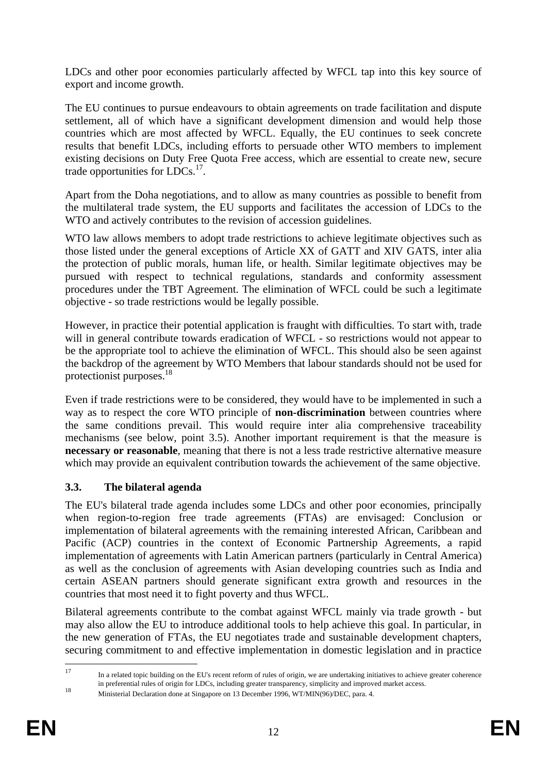LDCs and other poor economies particularly affected by WFCL tap into this key source of export and income growth.

The EU continues to pursue endeavours to obtain agreements on trade facilitation and dispute settlement, all of which have a significant development dimension and would help those countries which are most affected by WFCL. Equally, the EU continues to seek concrete results that benefit LDCs, including efforts to persuade other WTO members to implement existing decisions on Duty Free Quota Free access, which are essential to create new, secure trade opportunities for  $LDCs.$ <sup>17</sup>.

Apart from the Doha negotiations, and to allow as many countries as possible to benefit from the multilateral trade system, the EU supports and facilitates the accession of LDCs to the WTO and actively contributes to the revision of accession guidelines.

WTO law allows members to adopt trade restrictions to achieve legitimate objectives such as those listed under the general exceptions of Article XX of GATT and XIV GATS, inter alia the protection of public morals, human life, or health. Similar legitimate objectives may be pursued with respect to technical regulations, standards and conformity assessment procedures under the TBT Agreement. The elimination of WFCL could be such a legitimate objective - so trade restrictions would be legally possible.

However, in practice their potential application is fraught with difficulties. To start with, trade will in general contribute towards eradication of WFCL - so restrictions would not appear to be the appropriate tool to achieve the elimination of WFCL. This should also be seen against the backdrop of the agreement by WTO Members that labour standards should not be used for protectionist purposes.18

Even if trade restrictions were to be considered, they would have to be implemented in such a way as to respect the core WTO principle of **non-discrimination** between countries where the same conditions prevail. This would require inter alia comprehensive traceability mechanisms (see below, point 3.5). Another important requirement is that the measure is **necessary or reasonable**, meaning that there is not a less trade restrictive alternative measure which may provide an equivalent contribution towards the achievement of the same objective.

#### **3.3. The bilateral agenda**

The EU's bilateral trade agenda includes some LDCs and other poor economies, principally when region-to-region free trade agreements (FTAs) are envisaged: Conclusion or implementation of bilateral agreements with the remaining interested African, Caribbean and Pacific (ACP) countries in the context of Economic Partnership Agreements, a rapid implementation of agreements with Latin American partners (particularly in Central America) as well as the conclusion of agreements with Asian developing countries such as India and certain ASEAN partners should generate significant extra growth and resources in the countries that most need it to fight poverty and thus WFCL.

Bilateral agreements contribute to the combat against WFCL mainly via trade growth - but may also allow the EU to introduce additional tools to help achieve this goal. In particular, in the new generation of FTAs, the EU negotiates trade and sustainable development chapters, securing commitment to and effective implementation in domestic legislation and in practice

 $17$ 17 In a related topic building on the EU's recent reform of rules of origin, we are undertaking initiatives to achieve greater coherence in preferential rules of origin for LDCs, including greater transparency, simplicity and improved market access.<br>Ministerial Declaration done at Singapore on 13 December 1996, WT/MIN(96)/DEC, para. 4.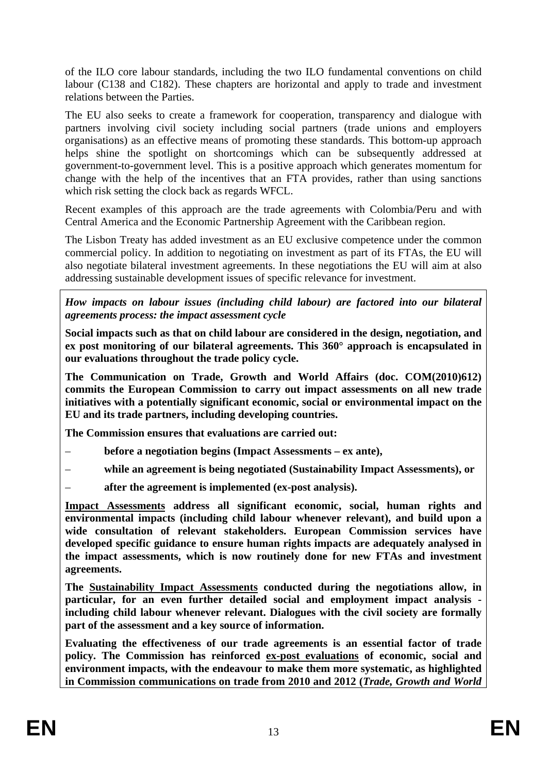of the ILO core labour standards, including the two ILO fundamental conventions on child labour (C138 and C182). These chapters are horizontal and apply to trade and investment relations between the Parties.

The EU also seeks to create a framework for cooperation, transparency and dialogue with partners involving civil society including social partners (trade unions and employers organisations) as an effective means of promoting these standards. This bottom-up approach helps shine the spotlight on shortcomings which can be subsequently addressed at government-to-government level. This is a positive approach which generates momentum for change with the help of the incentives that an FTA provides, rather than using sanctions which risk setting the clock back as regards WFCL.

Recent examples of this approach are the trade agreements with Colombia/Peru and with Central America and the Economic Partnership Agreement with the Caribbean region.

The Lisbon Treaty has added investment as an EU exclusive competence under the common commercial policy. In addition to negotiating on investment as part of its FTAs, the EU will also negotiate bilateral investment agreements. In these negotiations the EU will aim at also addressing sustainable development issues of specific relevance for investment.

*How impacts on labour issues (including child labour) are factored into our bilateral agreements process: the impact assessment cycle* 

**Social impacts such as that on child labour are considered in the design, negotiation, and ex post monitoring of our bilateral agreements. This 360° approach is encapsulated in our evaluations throughout the trade policy cycle.** 

**The Communication on Trade, Growth and World Affairs (doc. COM(2010)612) commits the European Commission to carry out impact assessments on all new trade initiatives with a potentially significant economic, social or environmental impact on the EU and its trade partners, including developing countries.** 

**The Commission ensures that evaluations are carried out:** 

- **before a negotiation begins (Impact Assessments ex ante),**
- **while an agreement is being negotiated (Sustainability Impact Assessments), or**
- **after the agreement is implemented (ex-post analysis).**

**Impact Assessments address all significant economic, social, human rights and environmental impacts (including child labour whenever relevant), and build upon a wide consultation of relevant stakeholders. European Commission services have developed specific guidance to ensure human rights impacts are adequately analysed in the impact assessments, which is now routinely done for new FTAs and investment agreements.** 

**The Sustainability Impact Assessments conducted during the negotiations allow, in particular, for an even further detailed social and employment impact analysis including child labour whenever relevant. Dialogues with the civil society are formally part of the assessment and a key source of information.** 

**Evaluating the effectiveness of our trade agreements is an essential factor of trade policy. The Commission has reinforced ex-post evaluations of economic, social and environment impacts, with the endeavour to make them more systematic, as highlighted in Commission communications on trade from 2010 and 2012 (***Trade, Growth and World*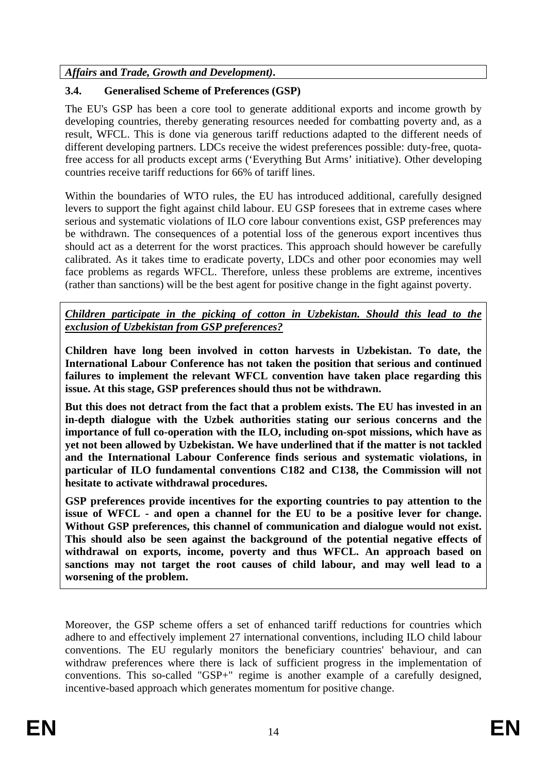*Affairs* **and** *Trade, Growth and Development)***.** 

## **3.4. Generalised Scheme of Preferences (GSP)**

The EU's GSP has been a core tool to generate additional exports and income growth by developing countries, thereby generating resources needed for combatting poverty and, as a result, WFCL. This is done via generous tariff reductions adapted to the different needs of different developing partners. LDCs receive the widest preferences possible: duty-free, quotafree access for all products except arms ('Everything But Arms' initiative). Other developing countries receive tariff reductions for 66% of tariff lines.

Within the boundaries of WTO rules, the EU has introduced additional, carefully designed levers to support the fight against child labour. EU GSP foresees that in extreme cases where serious and systematic violations of ILO core labour conventions exist, GSP preferences may be withdrawn. The consequences of a potential loss of the generous export incentives thus should act as a deterrent for the worst practices. This approach should however be carefully calibrated. As it takes time to eradicate poverty, LDCs and other poor economies may well face problems as regards WFCL. Therefore, unless these problems are extreme, incentives (rather than sanctions) will be the best agent for positive change in the fight against poverty.

*Children participate in the picking of cotton in Uzbekistan. Should this lead to the exclusion of Uzbekistan from GSP preferences?*

**Children have long been involved in cotton harvests in Uzbekistan. To date, the International Labour Conference has not taken the position that serious and continued failures to implement the relevant WFCL convention have taken place regarding this issue. At this stage, GSP preferences should thus not be withdrawn.** 

**But this does not detract from the fact that a problem exists. The EU has invested in an in-depth dialogue with the Uzbek authorities stating our serious concerns and the importance of full co-operation with the ILO, including on-spot missions, which have as yet not been allowed by Uzbekistan. We have underlined that if the matter is not tackled and the International Labour Conference finds serious and systematic violations, in particular of ILO fundamental conventions C182 and C138, the Commission will not hesitate to activate withdrawal procedures.** 

**GSP preferences provide incentives for the exporting countries to pay attention to the issue of WFCL - and open a channel for the EU to be a positive lever for change. Without GSP preferences, this channel of communication and dialogue would not exist. This should also be seen against the background of the potential negative effects of withdrawal on exports, income, poverty and thus WFCL. An approach based on sanctions may not target the root causes of child labour, and may well lead to a worsening of the problem.**

Moreover, the GSP scheme offers a set of enhanced tariff reductions for countries which adhere to and effectively implement 27 international conventions, including ILO child labour conventions. The EU regularly monitors the beneficiary countries' behaviour, and can withdraw preferences where there is lack of sufficient progress in the implementation of conventions. This so-called "GSP+" regime is another example of a carefully designed, incentive-based approach which generates momentum for positive change.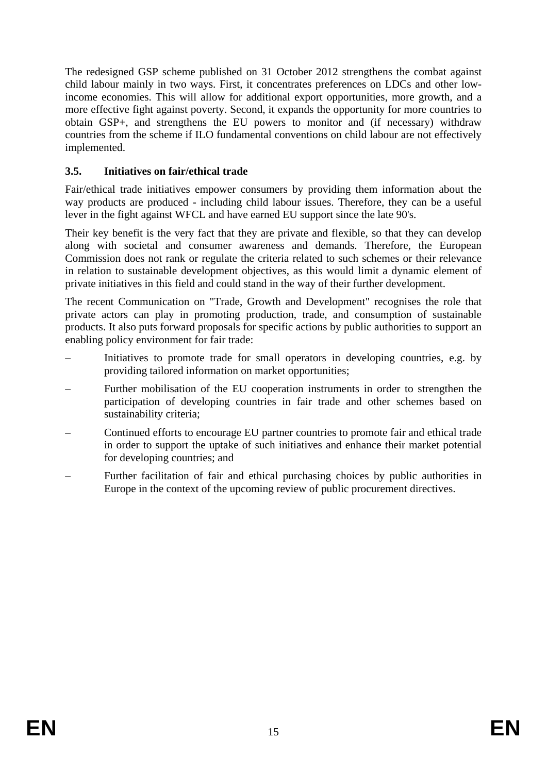The redesigned GSP scheme published on 31 October 2012 strengthens the combat against child labour mainly in two ways. First, it concentrates preferences on LDCs and other lowincome economies. This will allow for additional export opportunities, more growth, and a more effective fight against poverty. Second, it expands the opportunity for more countries to obtain GSP+, and strengthens the EU powers to monitor and (if necessary) withdraw countries from the scheme if ILO fundamental conventions on child labour are not effectively implemented.

## **3.5. Initiatives on fair/ethical trade**

Fair/ethical trade initiatives empower consumers by providing them information about the way products are produced - including child labour issues. Therefore, they can be a useful lever in the fight against WFCL and have earned EU support since the late 90's.

Their key benefit is the very fact that they are private and flexible, so that they can develop along with societal and consumer awareness and demands. Therefore, the European Commission does not rank or regulate the criteria related to such schemes or their relevance in relation to sustainable development objectives, as this would limit a dynamic element of private initiatives in this field and could stand in the way of their further development.

The recent Communication on "Trade, Growth and Development" recognises the role that private actors can play in promoting production, trade, and consumption of sustainable products. It also puts forward proposals for specific actions by public authorities to support an enabling policy environment for fair trade:

- Initiatives to promote trade for small operators in developing countries, e.g. by providing tailored information on market opportunities;
- Further mobilisation of the EU cooperation instruments in order to strengthen the participation of developing countries in fair trade and other schemes based on sustainability criteria;
- Continued efforts to encourage EU partner countries to promote fair and ethical trade in order to support the uptake of such initiatives and enhance their market potential for developing countries; and
- Further facilitation of fair and ethical purchasing choices by public authorities in Europe in the context of the upcoming review of public procurement directives.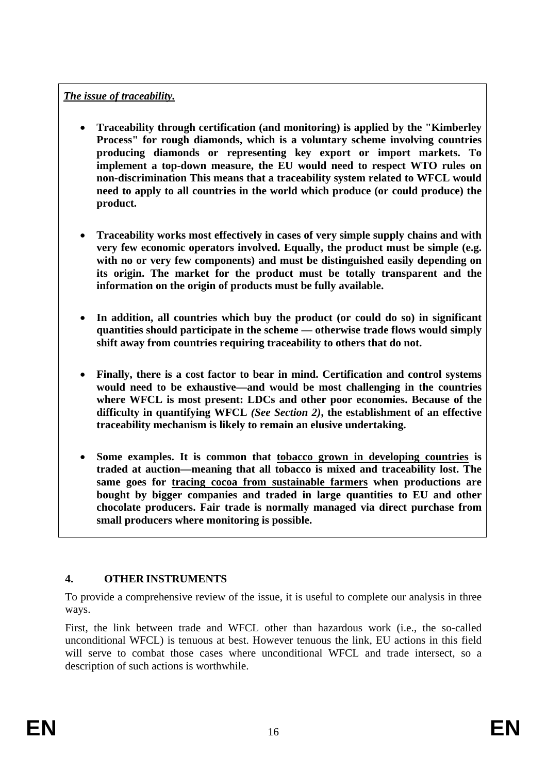## *The issue of traceability.*

- **Traceability through certification (and monitoring) is applied by the "Kimberley Process" for rough diamonds, which is a voluntary scheme involving countries producing diamonds or representing key export or import markets. To implement a top-down measure, the EU would need to respect WTO rules on non-discrimination This means that a traceability system related to WFCL would need to apply to all countries in the world which produce (or could produce) the product.**
- **Traceability works most effectively in cases of very simple supply chains and with very few economic operators involved. Equally, the product must be simple (e.g. with no or very few components) and must be distinguished easily depending on its origin. The market for the product must be totally transparent and the information on the origin of products must be fully available.**
- In addition, all countries which buy the product (or could do so) in significant **quantities should participate in the scheme — otherwise trade flows would simply shift away from countries requiring traceability to others that do not.**
- **Finally, there is a cost factor to bear in mind. Certification and control systems would need to be exhaustive—and would be most challenging in the countries where WFCL is most present: LDCs and other poor economies. Because of the difficulty in quantifying WFCL** *(See Section 2)***, the establishment of an effective traceability mechanism is likely to remain an elusive undertaking.**
- **Some examples. It is common that tobacco grown in developing countries is traded at auction—meaning that all tobacco is mixed and traceability lost. The same goes for tracing cocoa from sustainable farmers when productions are bought by bigger companies and traded in large quantities to EU and other chocolate producers. Fair trade is normally managed via direct purchase from small producers where monitoring is possible.**

## **4. OTHER INSTRUMENTS**

To provide a comprehensive review of the issue, it is useful to complete our analysis in three ways.

First, the link between trade and WFCL other than hazardous work (i.e., the so-called unconditional WFCL) is tenuous at best. However tenuous the link, EU actions in this field will serve to combat those cases where unconditional WFCL and trade intersect, so a description of such actions is worthwhile.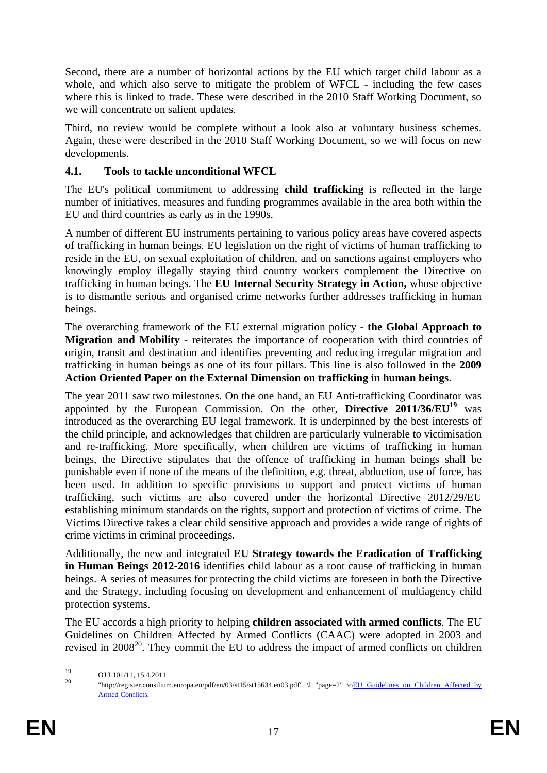Second, there are a number of horizontal actions by the EU which target child labour as a whole, and which also serve to mitigate the problem of WFCL - including the few cases where this is linked to trade. These were described in the 2010 Staff Working Document, so we will concentrate on salient updates.

Third, no review would be complete without a look also at voluntary business schemes. Again, these were described in the 2010 Staff Working Document, so we will focus on new developments.

## **4.1. Tools to tackle unconditional WFCL**

The EU's political commitment to addressing **child trafficking** is reflected in the large number of initiatives, measures and funding programmes available in the area both within the EU and third countries as early as in the 1990s.

A number of different EU instruments pertaining to various policy areas have covered aspects of trafficking in human beings. EU legislation on the right of victims of human trafficking to reside in the EU, on sexual exploitation of children, and on sanctions against employers who knowingly employ illegally staying third country workers complement the Directive on trafficking in human beings. The **EU Internal Security Strategy in Action,** whose objective is to dismantle serious and organised crime networks further addresses trafficking in human beings.

The overarching framework of the EU external migration policy - **the Global Approach to Migration and Mobility** - reiterates the importance of cooperation with third countries of origin, transit and destination and identifies preventing and reducing irregular migration and trafficking in human beings as one of its four pillars. This line is also followed in the **2009 Action Oriented Paper on the External Dimension on trafficking in human beings**.

The year 2011 saw two milestones. On the one hand, an EU Anti-trafficking Coordinator was appointed by the European Commission. On the other, **Directive 2011/36/EU<sup>19</sup>** was introduced as the overarching EU legal framework. It is underpinned by the best interests of the child principle, and acknowledges that children are particularly vulnerable to victimisation and re-trafficking. More specifically, when children are victims of trafficking in human beings, the Directive stipulates that the offence of trafficking in human beings shall be punishable even if none of the means of the definition, e.g. threat, abduction, use of force, has been used. In addition to specific provisions to support and protect victims of human trafficking, such victims are also covered under the horizontal Directive 2012/29/EU establishing minimum standards on the rights, support and protection of victims of crime. The Victims Directive takes a clear child sensitive approach and provides a wide range of rights of crime victims in criminal proceedings.

Additionally, the new and integrated **EU Strategy towards the Eradication of Trafficking in Human Beings 2012-2016** identifies child labour as a root cause of trafficking in human beings. A series of measures for protecting the child victims are foreseen in both the Directive and the Strategy, including focusing on development and enhancement of multiagency child protection systems.

The EU accords a high priority to helping **children associated with armed conflicts**. The EU Guidelines on Children Affected by Armed Conflicts (CAAC) were adopted in 2003 and revised in  $2008^{20}$ . They commit the EU to address the impact of armed conflicts on children

 $19$  $^{19}$  OJ L101/11, 15.4.2011

<sup>20 &</sup>quot;http://register.consilium.europa.eu/pdf/en/03/st15/st15634.en03.pdf" \l "page=2" \[oEU Guidelines on Children Affected by](http://register.consilium.europa.eu/pdf/en/03/st15/st15634.en03.pdf#page=2)  [Armed Conflicts.](http://register.consilium.europa.eu/pdf/en/03/st15/st15634.en03.pdf#page=2)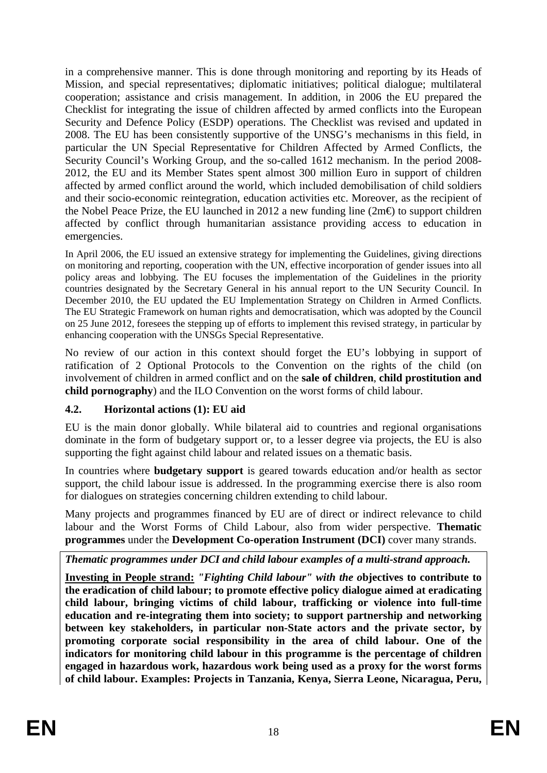in a comprehensive manner. This is done through monitoring and reporting by its Heads of Mission, and special representatives; diplomatic initiatives; political dialogue; multilateral cooperation; assistance and crisis management. In addition, in 2006 the EU prepared the Checklist for integrating the issue of children affected by armed conflicts into the European Security and Defence Policy (ESDP) operations. The Checklist was revised and updated in 2008. The EU has been consistently supportive of the UNSG's mechanisms in this field, in particular the UN Special Representative for Children Affected by Armed Conflicts, the Security Council's Working Group, and the so-called 1612 mechanism. In the period 2008- 2012, the EU and its Member States spent almost 300 million Euro in support of children affected by armed conflict around the world, which included demobilisation of child soldiers and their socio-economic reintegration, education activities etc. Moreover, as the recipient of the Nobel Peace Prize, the EU launched in 2012 a new funding line ( $2m\epsilon$ ) to support children affected by conflict through humanitarian assistance providing access to education in emergencies.

In April 2006, the EU issued an extensive strategy for implementing the Guidelines, giving directions on monitoring and reporting, cooperation with the UN, effective incorporation of gender issues into all policy areas and lobbying. The EU focuses the implementation of the Guidelines in the priority countries designated by the Secretary General in his annual report to the UN Security Council. In December 2010, the EU updated the EU Implementation Strategy on Children in Armed Conflicts. The EU Strategic Framework on human rights and democratisation, which was adopted by the Council on 25 June 2012, foresees the stepping up of efforts to implement this revised strategy, in particular by enhancing cooperation with the UNSGs Special Representative.

No review of our action in this context should forget the EU's lobbying in support of ratification of 2 Optional Protocols to the Convention on the rights of the child (on involvement of children in armed conflict and on the **sale of children**, **child prostitution and child pornography**) and the ILO Convention on the worst forms of child labour.

#### **4.2. Horizontal actions (1): EU aid**

EU is the main donor globally. While bilateral aid to countries and regional organisations dominate in the form of budgetary support or, to a lesser degree via projects, the EU is also supporting the fight against child labour and related issues on a thematic basis.

In countries where **budgetary support** is geared towards education and/or health as sector support, the child labour issue is addressed. In the programming exercise there is also room for dialogues on strategies concerning children extending to child labour.

Many projects and programmes financed by EU are of direct or indirect relevance to child labour and the Worst Forms of Child Labour, also from wider perspective. **Thematic programmes** under the **Development Co-operation Instrument (DCI)** cover many strands.

*Thematic programmes under DCI and child labour examples of a multi-strand approach.* 

**Investing in People strand:** *"Fighting Child labour" with the o***bjectives to contribute to the eradication of child labour; to promote effective policy dialogue aimed at eradicating child labour, bringing victims of child labour, trafficking or violence into full-time education and re-integrating them into society; to support partnership and networking between key stakeholders, in particular non-State actors and the private sector, by promoting corporate social responsibility in the area of child labour. One of the indicators for monitoring child labour in this programme is the percentage of children engaged in hazardous work, hazardous work being used as a proxy for the worst forms of child labour. Examples: Projects in Tanzania, Kenya, Sierra Leone, Nicaragua, Peru,**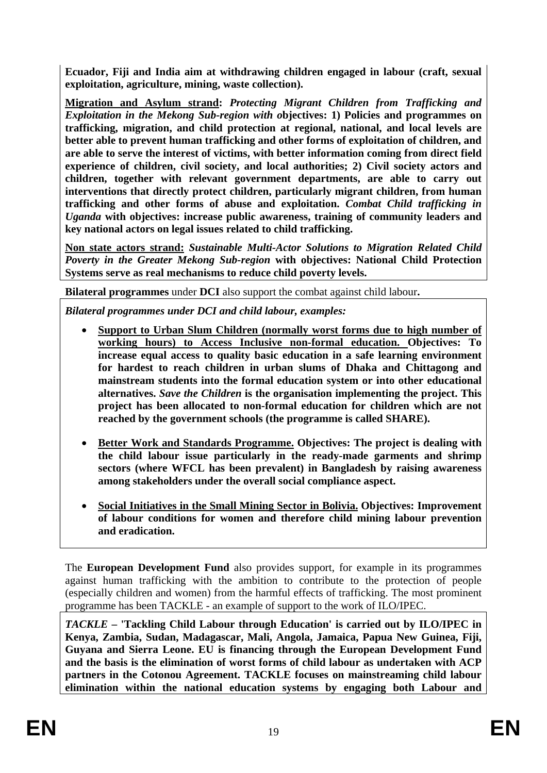**Ecuador, Fiji and India aim at withdrawing children engaged in labour (craft, sexual exploitation, agriculture, mining, waste collection).** 

**Migration and Asylum strand:** *Protecting Migrant Children from Trafficking and Exploitation in the Mekong Sub-region with o***bjectives: 1) Policies and programmes on trafficking, migration, and child protection at regional, national, and local levels are better able to prevent human trafficking and other forms of exploitation of children, and are able to serve the interest of victims, with better information coming from direct field experience of children, civil society, and local authorities; 2) Civil society actors and children, together with relevant government departments, are able to carry out interventions that directly protect children, particularly migrant children, from human trafficking and other forms of abuse and exploitation.** *Combat Child trafficking in Uganda* **with objectives: increase public awareness, training of community leaders and key national actors on legal issues related to child trafficking.** 

**Non state actors strand:** *Sustainable Multi-Actor Solutions to Migration Related Child Poverty in the Greater Mekong Sub-region* **with objectives: National Child Protection Systems serve as real mechanisms to reduce child poverty levels.** 

**Bilateral programmes** under **DCI** also support the combat against child labour**.** 

*Bilateral programmes under DCI and child labour, examples:* 

- **Support to Urban Slum Children (normally worst forms due to high number of working hours) to Access Inclusive non-formal education. Objectives: To increase equal access to quality basic education in a safe learning environment for hardest to reach children in urban slums of Dhaka and Chittagong and mainstream students into the formal education system or into other educational alternatives.** *Save the Children* **is the organisation implementing the project. This project has been allocated to non-formal education for children which are not reached by the government schools (the programme is called SHARE).**
- **Better Work and Standards Programme. Objectives: The project is dealing with the child labour issue particularly in the ready-made garments and shrimp sectors (where WFCL has been prevalent) in Bangladesh by raising awareness among stakeholders under the overall social compliance aspect.**
- **Social Initiatives in the Small Mining Sector in Bolivia. Objectives: Improvement of labour conditions for women and therefore child mining labour prevention and eradication.**

The **European Development Fund** also provides support, for example in its programmes against human trafficking with the ambition to contribute to the protection of people (especially children and women) from the harmful effects of trafficking. The most prominent programme has been TACKLE - an example of support to the work of ILO/IPEC.

*TACKLE* **– 'Tackling Child Labour through Education' is carried out by ILO/IPEC in Kenya, Zambia, Sudan, Madagascar, Mali, Angola, Jamaica, Papua New Guinea, Fiji, Guyana and Sierra Leone. EU is financing through the European Development Fund and the basis is the elimination of worst forms of child labour as undertaken with ACP partners in the Cotonou Agreement. TACKLE focuses on mainstreaming child labour elimination within the national education systems by engaging both Labour and**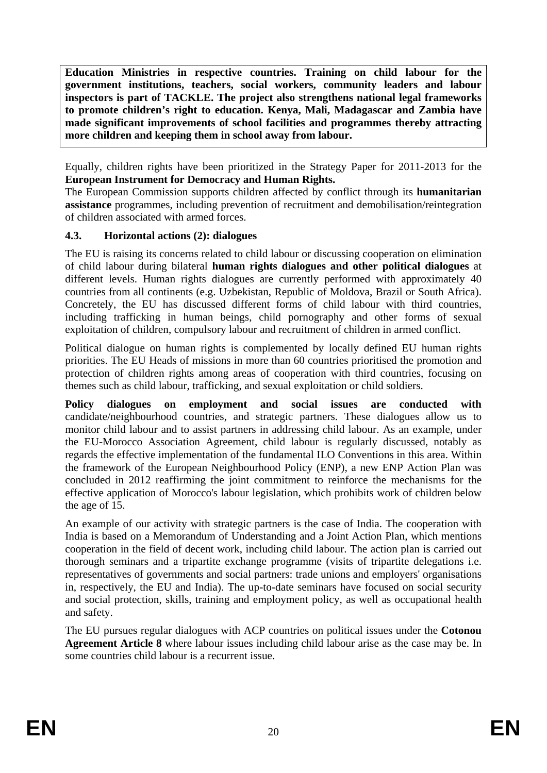**Education Ministries in respective countries. Training on child labour for the government institutions, teachers, social workers, community leaders and labour inspectors is part of TACKLE. The project also strengthens national legal frameworks to promote children's right to education. Kenya, Mali, Madagascar and Zambia have made significant improvements of school facilities and programmes thereby attracting more children and keeping them in school away from labour.**

Equally, children rights have been prioritized in the Strategy Paper for 2011-2013 for the **European Instrument for Democracy and Human Rights.** 

The European Commission supports children affected by conflict through its **humanitarian assistance** programmes, including prevention of recruitment and demobilisation/reintegration of children associated with armed forces.

## **4.3. Horizontal actions (2): dialogues**

The EU is raising its concerns related to child labour or discussing cooperation on elimination of child labour during bilateral **human rights dialogues and other political dialogues** at different levels. Human rights dialogues are currently performed with approximately 40 countries from all continents (e.g. Uzbekistan, Republic of Moldova, Brazil or South Africa). Concretely, the EU has discussed different forms of child labour with third countries, including trafficking in human beings, child pornography and other forms of sexual exploitation of children, compulsory labour and recruitment of children in armed conflict.

Political dialogue on human rights is complemented by locally defined EU human rights priorities. The EU Heads of missions in more than 60 countries prioritised the promotion and protection of children rights among areas of cooperation with third countries, focusing on themes such as child labour, trafficking, and sexual exploitation or child soldiers.

**Policy dialogues on employment and social issues are conducted with**  candidate/neighbourhood countries, and strategic partners. These dialogues allow us to monitor child labour and to assist partners in addressing child labour. As an example, under the EU-Morocco Association Agreement, child labour is regularly discussed, notably as regards the effective implementation of the fundamental ILO Conventions in this area. Within the framework of the European Neighbourhood Policy (ENP), a new ENP Action Plan was concluded in 2012 reaffirming the joint commitment to reinforce the mechanisms for the effective application of Morocco's labour legislation, which prohibits work of children below the age of 15.

An example of our activity with strategic partners is the case of India. The cooperation with India is based on a Memorandum of Understanding and a Joint Action Plan, which mentions cooperation in the field of decent work, including child labour. The action plan is carried out thorough seminars and a tripartite exchange programme (visits of tripartite delegations i.e. representatives of governments and social partners: trade unions and employers' organisations in, respectively, the EU and India). The up-to-date seminars have focused on social security and social protection, skills, training and employment policy, as well as occupational health and safety.

The EU pursues regular dialogues with ACP countries on political issues under the **Cotonou Agreement Article 8** where labour issues including child labour arise as the case may be. In some countries child labour is a recurrent issue.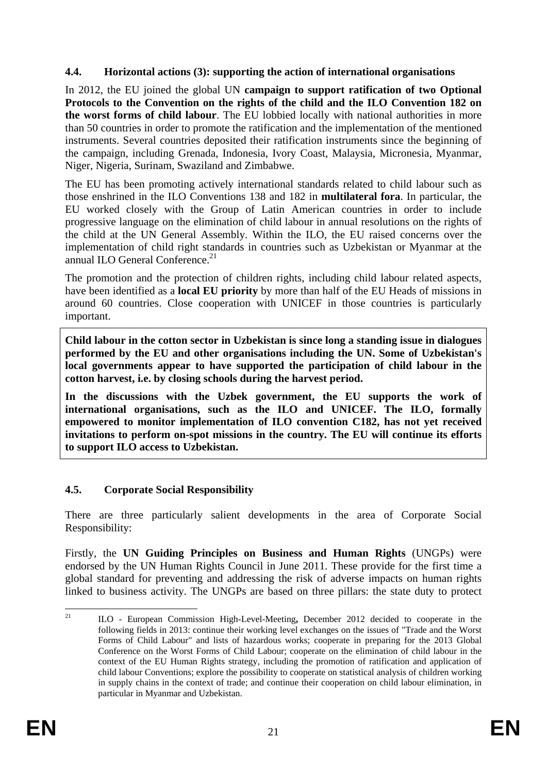#### **4.4. Horizontal actions (3): supporting the action of international organisations**

In 2012, the EU joined the global UN **campaign to support ratification of two Optional Protocols to the Convention on the rights of the child and the ILO Convention 182 on the worst forms of child labour**. The EU lobbied locally with national authorities in more than 50 countries in order to promote the ratification and the implementation of the mentioned instruments. Several countries deposited their ratification instruments since the beginning of the campaign, including Grenada, Indonesia, Ivory Coast, Malaysia, Micronesia, Myanmar, Niger, Nigeria, Surinam, Swaziland and Zimbabwe.

The EU has been promoting actively international standards related to child labour such as those enshrined in the ILO Conventions 138 and 182 in **multilateral fora**. In particular, the EU worked closely with the Group of Latin American countries in order to include progressive language on the elimination of child labour in annual resolutions on the rights of the child at the UN General Assembly. Within the ILO, the EU raised concerns over the implementation of child right standards in countries such as Uzbekistan or Myanmar at the annual ILO General Conference.<sup>21</sup>

The promotion and the protection of children rights, including child labour related aspects, have been identified as a **local EU priority** by more than half of the EU Heads of missions in around 60 countries. Close cooperation with UNICEF in those countries is particularly important.

**Child labour in the cotton sector in Uzbekistan is since long a standing issue in dialogues performed by the EU and other organisations including the UN. Some of Uzbekistan's local governments appear to have supported the participation of child labour in the cotton harvest, i.e. by closing schools during the harvest period.** 

**In the discussions with the Uzbek government, the EU supports the work of international organisations, such as the ILO and UNICEF. The ILO, formally empowered to monitor implementation of ILO convention C182, has not yet received invitations to perform on-spot missions in the country. The EU will continue its efforts to support ILO access to Uzbekistan.** 

#### **4.5. Corporate Social Responsibility**

There are three particularly salient developments in the area of Corporate Social Responsibility:

Firstly, the **UN Guiding Principles on Business and Human Rights** (UNGPs) were endorsed by the UN Human Rights Council in June 2011. These provide for the first time a global standard for preventing and addressing the risk of adverse impacts on human rights linked to business activity. The UNGPs are based on three pillars: the state duty to protect

 $21$ 21 ILO - European Commission High-Level-Meeting**,** December 2012 decided to cooperate in the following fields in 2013: continue their working level exchanges on the issues of "Trade and the Worst Forms of Child Labour" and lists of hazardous works; cooperate in preparing for the 2013 Global Conference on the Worst Forms of Child Labour; cooperate on the elimination of child labour in the context of the EU Human Rights strategy, including the promotion of ratification and application of child labour Conventions; explore the possibility to cooperate on statistical analysis of children working in supply chains in the context of trade; and continue their cooperation on child labour elimination, in particular in Myanmar and Uzbekistan.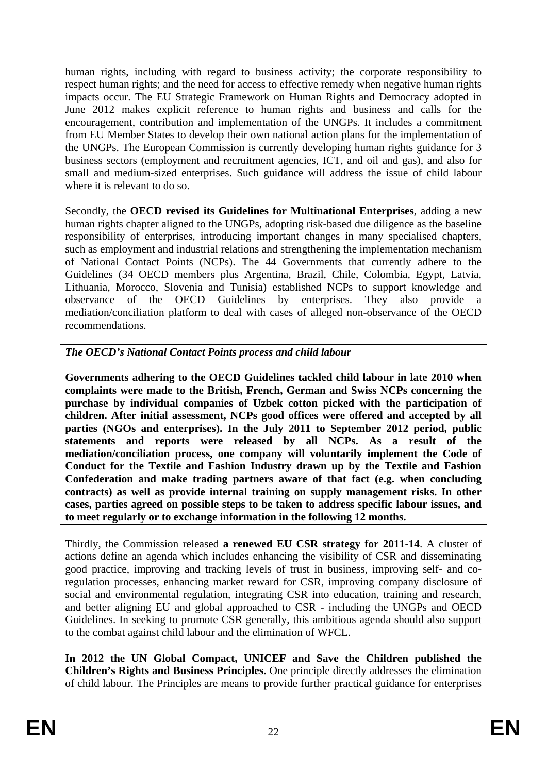human rights, including with regard to business activity; the corporate responsibility to respect human rights; and the need for access to effective remedy when negative human rights impacts occur. The EU Strategic Framework on Human Rights and Democracy adopted in June 2012 makes explicit reference to human rights and business and calls for the encouragement, contribution and implementation of the UNGPs. It includes a commitment from EU Member States to develop their own national action plans for the implementation of the UNGPs. The European Commission is currently developing human rights guidance for 3 business sectors (employment and recruitment agencies, ICT, and oil and gas), and also for small and medium-sized enterprises. Such guidance will address the issue of child labour where it is relevant to do so.

Secondly, the **OECD revised its Guidelines for Multinational Enterprises**, adding a new human rights chapter aligned to the UNGPs, adopting risk-based due diligence as the baseline responsibility of enterprises, introducing important changes in many specialised chapters, such as employment and industrial relations and strengthening the implementation mechanism of National Contact Points (NCPs). The 44 Governments that currently adhere to the Guidelines (34 OECD members plus Argentina, Brazil, Chile, Colombia, Egypt, Latvia, Lithuania, Morocco, Slovenia and Tunisia) established NCPs to support knowledge and observance of the OECD Guidelines by enterprises. They also provide a mediation/conciliation platform to deal with cases of alleged non-observance of the OECD recommendations.

## *The OECD's National Contact Points process and child labour*

**Governments adhering to the OECD Guidelines tackled child labour in late 2010 when complaints were made to the British, French, German and Swiss NCPs concerning the purchase by individual companies of Uzbek cotton picked with the participation of children. After initial assessment, NCPs good offices were offered and accepted by all parties (NGOs and enterprises). In the July 2011 to September 2012 period, public statements and reports were released by all NCPs. As a result of the mediation/conciliation process, one company will voluntarily implement the Code of Conduct for the Textile and Fashion Industry drawn up by the Textile and Fashion Confederation and make trading partners aware of that fact (e.g. when concluding contracts) as well as provide internal training on supply management risks. In other cases, parties agreed on possible steps to be taken to address specific labour issues, and to meet regularly or to exchange information in the following 12 months.** 

Thirdly, the Commission released **a renewed EU CSR strategy for 2011-14**. A cluster of actions define an agenda which includes enhancing the visibility of CSR and disseminating good practice, improving and tracking levels of trust in business, improving self- and coregulation processes, enhancing market reward for CSR, improving company disclosure of social and environmental regulation, integrating CSR into education, training and research, and better aligning EU and global approached to CSR - including the UNGPs and OECD Guidelines. In seeking to promote CSR generally, this ambitious agenda should also support to the combat against child labour and the elimination of WFCL.

**In 2012 the UN Global Compact, UNICEF and Save the Children published the Children's Rights and Business Principles.** One principle directly addresses the elimination of child labour. The Principles are means to provide further practical guidance for enterprises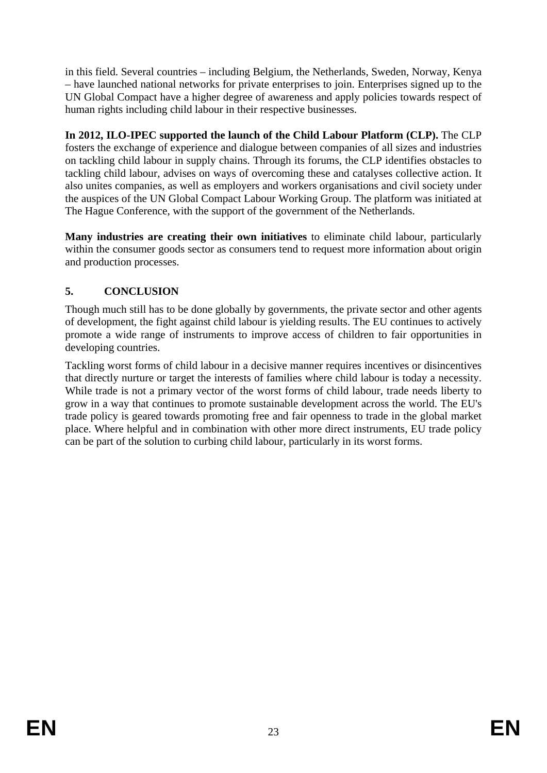in this field. Several countries – including Belgium, the Netherlands, Sweden, Norway, Kenya – have launched national networks for private enterprises to join. Enterprises signed up to the UN Global Compact have a higher degree of awareness and apply policies towards respect of human rights including child labour in their respective businesses.

**In 2012, ILO-IPEC supported the launch of the Child Labour Platform (CLP).** The CLP fosters the exchange of experience and dialogue between companies of all sizes and industries on tackling child labour in supply chains. Through its forums, the CLP identifies obstacles to tackling child labour, advises on ways of overcoming these and catalyses collective action. It also unites companies, as well as employers and workers organisations and civil society under the auspices of the UN Global Compact Labour Working Group. The platform was initiated at The Hague Conference, with the support of the government of the Netherlands.

**Many industries are creating their own initiatives** to eliminate child labour, particularly within the consumer goods sector as consumers tend to request more information about origin and production processes.

## **5. CONCLUSION**

Though much still has to be done globally by governments, the private sector and other agents of development, the fight against child labour is yielding results. The EU continues to actively promote a wide range of instruments to improve access of children to fair opportunities in developing countries.

Tackling worst forms of child labour in a decisive manner requires incentives or disincentives that directly nurture or target the interests of families where child labour is today a necessity. While trade is not a primary vector of the worst forms of child labour, trade needs liberty to grow in a way that continues to promote sustainable development across the world. The EU's trade policy is geared towards promoting free and fair openness to trade in the global market place. Where helpful and in combination with other more direct instruments, EU trade policy can be part of the solution to curbing child labour, particularly in its worst forms.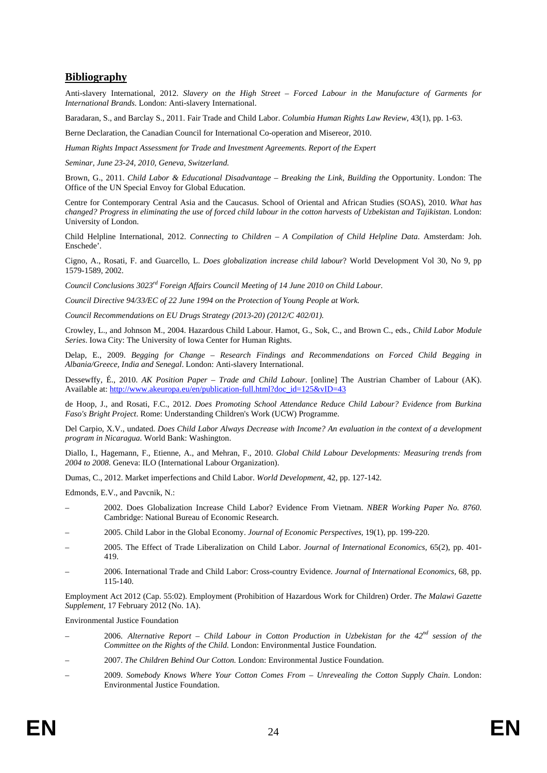#### **Bibliography**

Anti-slavery International, 2012. *Slavery on the High Street – Forced Labour in the Manufacture of Garments for International Brands*. London: Anti-slavery International.

Baradaran, S., and Barclay S., 2011. Fair Trade and Child Labor. *Columbia Human Rights Law Review*, 43(1), pp. 1-63.

Berne Declaration, the Canadian Council for International Co-operation and Misereor, 2010.

*Human Rights Impact Assessment for Trade and Investment Agreements. Report of the Expert* 

*Seminar, June 23-24, 2010, Geneva, Switzerland.* 

Brown, G., 2011. *Child Labor & Educational Disadvantage – Breaking the Link, Building the Opportunity*. London: The Office of the UN Special Envoy for Global Education.

Centre for Contemporary Central Asia and the Caucasus. School of Oriental and African Studies (SOAS), 2010. *What has changed? Progress in eliminating the use of forced child labour in the cotton harvests of Uzbekistan and Tajikistan*. London: University of London.

Child Helpline International, 2012. *Connecting to Children – A Compilation of Child Helpline Data*. Amsterdam: Joh. Enschede'.

Cigno, A., Rosati, F. and Guarcello, L. *Does globalization increase child labour*? World Development Vol 30, No 9, pp 1579-1589, 2002.

*Council Conclusions 3023rd Foreign Affairs Council Meeting of 14 June 2010 on Child Labour.* 

*Council Directive 94/33/EC of 22 June 1994 on the Protection of Young People at Work.* 

*Council Recommendations on EU Drugs Strategy (2013-20) (2012/C 402/01).* 

Crowley, L., and Johnson M., 2004. Hazardous Child Labour. Hamot, G., Sok, C., and Brown C., eds., *Child Labor Module Series*. Iowa City: The University of Iowa Center for Human Rights.

Delap, E., 2009. *Begging for Change – Research Findings and Recommendations on Forced Child Begging in Albania/Greece, India and Senegal*. London: Anti-slavery International.

Dessewffy, É., 2010. *AK Position Paper – Trade and Child Labour*. [online] The Austrian Chamber of Labour (AK). Available at[: http://www.akeuropa.eu/en/publication-full.html?doc\\_id=125&vID=43](http://www.akeuropa.eu/en/publication-full.html?doc_id=125&vID=43) 

de Hoop, J., and Rosati, F.C., 2012. *Does Promoting School Attendance Reduce Child Labour? Evidence from Burkina Faso's Bright Project*. Rome: Understanding Children's Work (UCW) Programme.

Del Carpio, X.V., undated. *Does Child Labor Always Decrease with Income? An evaluation in the context of a development program in Nicaragua*. World Bank: Washington.

Diallo, I., Hagemann, F., Etienne, A., and Mehran, F., 2010. *Global Child Labour Developments: Measuring trends from 2004 to 2008*. Geneva: ILO (International Labour Organization).

Dumas, C., 2012. Market imperfections and Child Labor. *World Development*, 42, pp. 127-142.

Edmonds, E.V., and Pavcnik, N.:

- 2002. Does Globalization Increase Child Labor? Evidence From Vietnam. *NBER Working Paper No. 8760*. Cambridge: National Bureau of Economic Research.
- 2005. Child Labor in the Global Economy. *Journal of Economic Perspectives,* 19(1), pp. 199-220.
- 2005. The Effect of Trade Liberalization on Child Labor. *Journal of International Economics,* 65(2), pp. 401- 419.
- 2006. International Trade and Child Labor: Cross-country Evidence. *Journal of International Economics,* 68, pp. 115-140.

Employment Act 2012 (Cap. 55:02). Employment (Prohibition of Hazardous Work for Children) Order. *The Malawi Gazette Supplement*, 17 February 2012 (No. 1A).

Environmental Justice Foundation

- 2006. *Alternative Report Child Labour in Cotton Production in Uzbekistan for the 42nd session of the Committee on the Rights of the Child*. London: Environmental Justice Foundation.
- 2007. *The Children Behind Our Cotton.* London: Environmental Justice Foundation.
- 2009. *Somebody Knows Where Your Cotton Comes From Unrevealing the Cotton Supply Chain*. London: Environmental Justice Foundation.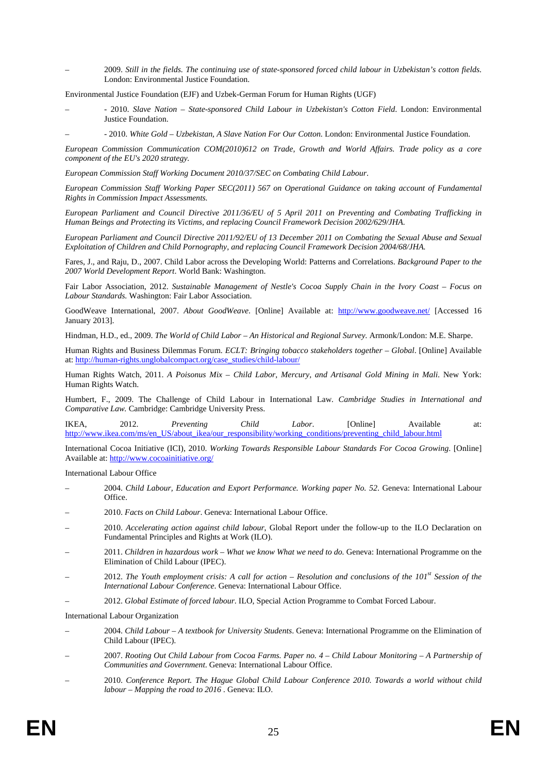– 2009. *Still in the fields. The continuing use of state-sponsored forced child labour in Uzbekistan's cotton fields*. London: Environmental Justice Foundation.

Environmental Justice Foundation (EJF) and Uzbek-German Forum for Human Rights (UGF)

- - 2010. *Slave Nation State-sponsored Child Labour in Uzbekistan's Cotton Field*. London: Environmental Justice Foundation.
- - 2010. *White Gold Uzbekistan, A Slave Nation For Our Cotton*. London: Environmental Justice Foundation.

*European Commission Communication COM(2010)612 on Trade, Growth and World Affairs. Trade policy as a core component of the EU's 2020 strategy.* 

*European Commission Staff Working Document 2010/37/SEC on Combating Child Labour*.

*European Commission Staff Working Paper SEC(2011) 567 on Operational Guidance on taking account of Fundamental Rights in Commission Impact Assessments.* 

*European Parliament and Council Directive 2011/36/EU of 5 April 2011 on Preventing and Combating Trafficking in Human Beings and Protecting its Victims, and replacing Council Framework Decision 2002/629/JHA.* 

*European Parliament and Council Directive 2011/92/EU of 13 December 2011 on Combating the Sexual Abuse and Sexual Exploitation of Children and Child Pornography, and replacing Council Framework Decision 2004/68/JHA.*

Fares, J., and Raju, D., 2007. Child Labor across the Developing World: Patterns and Correlations. *Background Paper to the 2007 World Development Report*. World Bank: Washington.

Fair Labor Association, 2012. *Sustainable Management of Nestle's Cocoa Supply Chain in the Ivory Coast – Focus on Labour Standards.* Washington: Fair Labor Association.

GoodWeave International, 2007. *About GoodWeave*. [Online] Available at:<http://www.goodweave.net/>[Accessed 16 January 2013].

Hindman, H.D., ed., 2009. *The World of Child Labor – An Historical and Regional Survey*. Armonk/London: M.E. Sharpe.

Human Rights and Business Dilemmas Forum. *ECLT: Bringing tobacco stakeholders together – Global*. [Online] Available at[: http://human-rights.unglobalcompact.org/case\\_studies/child-labour/](http://human-rights.unglobalcompact.org/case_studies/child-labour/) 

Human Rights Watch, 2011. *A Poisonus Mix - Child Labor, Mercury, and Artisanal Gold Mining in Mali*. New York: Human Rights Watch.

Humbert, F., 2009. The Challenge of Child Labour in International Law*. Cambridge Studies in International and Comparative Law.* Cambridge: Cambridge University Press.

IKEA, 2012. *Preventing Child Labor*. [Online] Available at: [http://www.ikea.com/ms/en\\_US/about\\_ikea/our\\_responsibility/working\\_conditions/preventing\\_child\\_labour.html](http://www.ikea.com/ms/en_US/about_ikea/our_responsibility/working_conditions/preventing_child_labour.html)

International Cocoa Initiative (ICI), 2010. *Working Towards Responsible Labour Standards For Cocoa Growing*. [Online] Available at[: http://www.cocoainitiative.org/](http://www.cocoainitiative.org/) 

International Labour Office

- 2004. *Child Labour, Education and Export Performance. Working paper No. 52*. Geneva: International Labour Office.
- 2010. *Facts on Child Labour*. Geneva: International Labour Office.
- 2010. *Accelerating action against child labour*, Global Report under the follow-up to the ILO Declaration on Fundamental Principles and Rights at Work (ILO).
- 2011. *Children in hazardous work What we know What we need to do.* Geneva: International Programme on the Elimination of Child Labour (IPEC).
- 2012. *The Youth employment crisis: A call for action Resolution and conclusions of the 101st Session of the International Labour Conference*. Geneva: International Labour Office.
- 2012. *Global Estimate of forced labour*. ILO, Special Action Programme to Combat Forced Labour.

International Labour Organization

- 2004. *Child Labour A textbook for University Students*. Geneva: International Programme on the Elimination of Child Labour (IPEC).
- 2007. *Rooting Out Child Labour from Cocoa Farms. Paper no. 4 Child Labour Monitoring A Partnership of Communities and Government*. Geneva: International Labour Office.
- 2010. *Conference Report. The Hague Global Child Labour Conference 2010. Towards a world without child labour – Mapping the road to 2016 .* Geneva: ILO.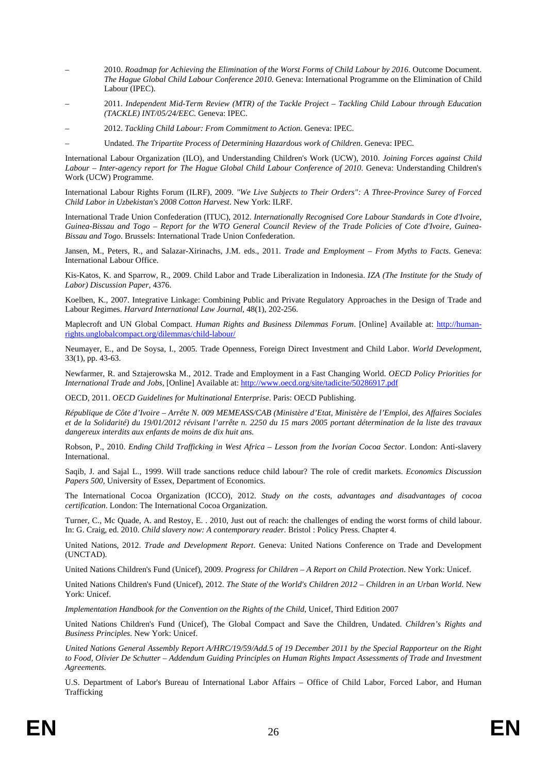- 2010. *Roadmap for Achieving the Elimination of the Worst Forms of Child Labour by 2016*. Outcome Document. *The Hague Global Child Labour Conference 2010.* Geneva: International Programme on the Elimination of Child Labour (IPEC).
- 2011. *Independent Mid-Term Review (MTR) of the Tackle Project Tackling Child Labour through Education (TACKLE) INT/05/24/EEC*. Geneva: IPEC.
- 2012. *Tackling Child Labour: From Commitment to Action*. Geneva: IPEC.
	- Undated. *The Tripartite Process of Determining Hazardous work of Children*. Geneva: IPEC.

International Labour Organization (ILO), and Understanding Children's Work (UCW), 2010. *Joining Forces against Child Labour – Inter-agency report for The Hague Global Child Labour Conference of 2010*. Geneva: Understanding Children's Work (UCW) Programme.

International Labour Rights Forum (ILRF), 2009. *"We Live Subjects to Their Orders": A Three-Province Surey of Forced Child Labor in Uzbekistan's 2008 Cotton Harvest*. New York: ILRF.

International Trade Union Confederation (ITUC), 2012. *Internationally Recognised Core Labour Standards in Cote d'Ivoire, Guinea-Bissau and Togo – Report for the WTO General Council Review of the Trade Policies of Cote d'Ivoire, Guinea-Bissau and Togo*. Brussels: International Trade Union Confederation.

Jansen, M., Peters, R., and Salazar-Xirinachs, J.M. eds., 2011. *Trade and Employment – From Myths to Facts*. Geneva: International Labour Office.

Kis-Katos, K. and Sparrow, R., 2009. Child Labor and Trade Liberalization in Indonesia. *IZA (The Institute for the Study of Labor) Discussion Paper*, 4376.

Koelben, K., 2007. Integrative Linkage: Combining Public and Private Regulatory Approaches in the Design of Trade and Labour Regimes. *Harvard International Law Journal*, 48(1), 202-256.

Maplecroft and UN Global Compact. *Human Rights and Business Dilemmas Forum*. [Online] Available at: [http://human](http://human-rights.unglobalcompact.org/dilemmas/child-labour/)[rights.unglobalcompact.org/dilemmas/child-labour/](http://human-rights.unglobalcompact.org/dilemmas/child-labour/) 

Neumayer, E., and De Soysa, I., 2005. Trade Openness, Foreign Direct Investment and Child Labor. *World Development*, 33(1), pp. 43-63.

Newfarmer, R. and Sztajerowska M., 2012. Trade and Employment in a Fast Changing World. *OECD Policy Priorities for International Trade and Jobs,* [Online] Available at[: http://www.oecd.org/site/tadicite/50286917.pdf](http://www.oecd.org/site/tadicite/50286917.pdf) 

OECD, 2011. *OECD Guidelines for Multinational Enterprise*. Paris: OECD Publishing.

*République de Côte d'Ivoire – Arrête N. 009 MEMEASS/CAB (Ministère d'Etat, Ministère de l'Emploi, des Affaires Sociales et de la Solidarité) du 19/01/2012 révisant l'arrête n. 2250 du 15 mars 2005 portant détermination de la liste des travaux dangereux interdits aux enfants de moins de dix huit ans.* 

Robson, P., 2010. *Ending Child Trafficking in West Africa – Lesson from the Ivorian Cocoa Sector*. London: Anti-slavery International.

Saqib, J. and Sajal L., 1999. Will trade sanctions reduce child labour? The role of credit markets. *Economics Discussion Papers 500*, University of Essex, Department of Economics.

The International Cocoa Organization (ICCO), 2012. *Study on the costs, advantages and disadvantages of cocoa certification*. London: The International Cocoa Organization.

Turner, C., Mc Quade, A. and Restoy, E. . 2010, Just out of reach: the challenges of ending the worst forms of child labour. In: G. Craig, ed. 2010. *Child slavery now: A contemporary reader.* Bristol : Policy Press. Chapter 4.

United Nations, 2012. *Trade and Development Report*. Geneva: United Nations Conference on Trade and Development (UNCTAD).

United Nations Children's Fund (Unicef), 2009. *Progress for Children – A Report on Child Protection*. New York: Unicef.

United Nations Children's Fund (Unicef), 2012. *The State of the World's Children 2012 – Children in an Urban World*. New York: Unicef.

*Implementation Handbook for the Convention on the Rights of the Child*, Unicef, Third Edition 2007

United Nations Children's Fund (Unicef), The Global Compact and Save the Children, Undated. *Children's Rights and Business Principles*. New York: Unicef.

*United Nations General Assembly Report A/HRC/19/59/Add.5 of 19 December 2011 by the Special Rapporteur on the Right to Food, Olivier De Schutter – Addendum Guiding Principles on Human Rights Impact Assessments of Trade and Investment Agreements.* 

U.S. Department of Labor's Bureau of International Labor Affairs – Office of Child Labor, Forced Labor, and Human Trafficking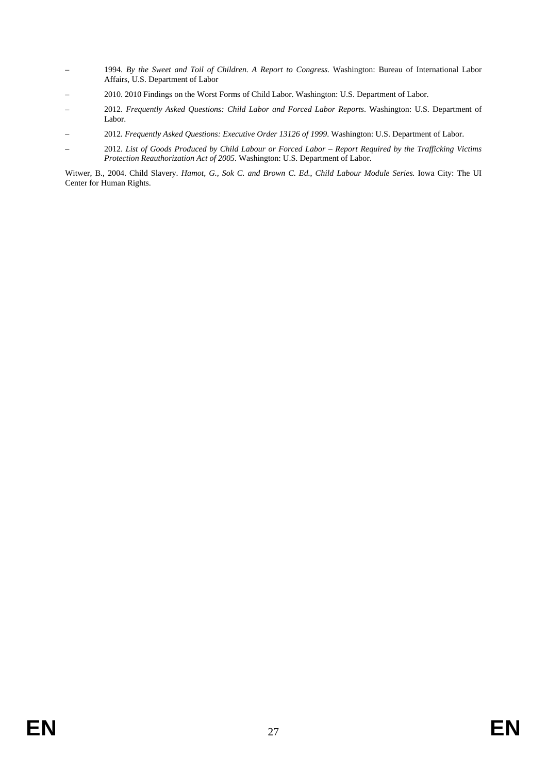- 1994. *By the Sweet and Toil of Children. A Report to Congress.* Washington: Bureau of International Labor Affairs, U.S. Department of Labor
- 2010. 2010 Findings on the Worst Forms of Child Labor. Washington: U.S. Department of Labor.
- 2012. *Frequently Asked Questions: Child Labor and Forced Labor Reports*. Washington: U.S. Department of Labor.
- 2012*. Frequently Asked Questions: Executive Order 13126 of 1999*. Washington: U.S. Department of Labor.
- 2012. *List of Goods Produced by Child Labour or Forced Labor Report Required by the Trafficking Victims Protection Reauthorization Act of 2005*. Washington: U.S. Department of Labor.

Witwer, B., 2004. Child Slavery. *Hamot, G., Sok C. and Brown C. Ed.*, *Child Labour Module Series.* Iowa City: The UI Center for Human Rights.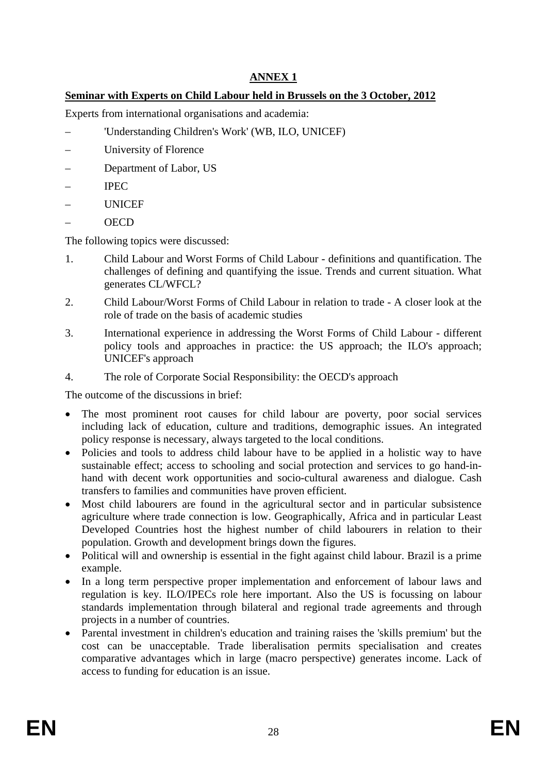## **ANNEX 1**

## **Seminar with Experts on Child Labour held in Brussels on the 3 October, 2012**

Experts from international organisations and academia:

- 'Understanding Children's Work' (WB, ILO, UNICEF)
- University of Florence
- Department of Labor, US
- IPEC
- **UNICEF**
- OECD

The following topics were discussed:

- 1. Child Labour and Worst Forms of Child Labour definitions and quantification. The challenges of defining and quantifying the issue. Trends and current situation. What generates CL/WFCL?
- 2. Child Labour/Worst Forms of Child Labour in relation to trade A closer look at the role of trade on the basis of academic studies
- 3. International experience in addressing the Worst Forms of Child Labour different policy tools and approaches in practice: the US approach; the ILO's approach; UNICEF's approach
- 4. The role of Corporate Social Responsibility: the OECD's approach

The outcome of the discussions in brief:

- The most prominent root causes for child labour are poverty, poor social services including lack of education, culture and traditions, demographic issues. An integrated policy response is necessary, always targeted to the local conditions.
- Policies and tools to address child labour have to be applied in a holistic way to have sustainable effect; access to schooling and social protection and services to go hand-inhand with decent work opportunities and socio-cultural awareness and dialogue. Cash transfers to families and communities have proven efficient.
- Most child labourers are found in the agricultural sector and in particular subsistence agriculture where trade connection is low. Geographically, Africa and in particular Least Developed Countries host the highest number of child labourers in relation to their population. Growth and development brings down the figures.
- Political will and ownership is essential in the fight against child labour. Brazil is a prime example.
- In a long term perspective proper implementation and enforcement of labour laws and regulation is key. ILO/IPECs role here important. Also the US is focussing on labour standards implementation through bilateral and regional trade agreements and through projects in a number of countries.
- Parental investment in children's education and training raises the 'skills premium' but the cost can be unacceptable. Trade liberalisation permits specialisation and creates comparative advantages which in large (macro perspective) generates income. Lack of access to funding for education is an issue.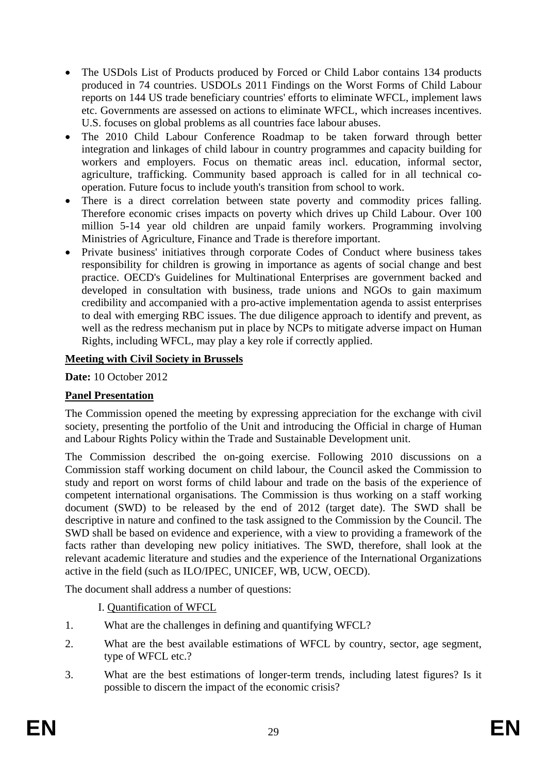- The USDols List of Products produced by Forced or Child Labor contains 134 products produced in 74 countries. USDOLs 2011 Findings on the Worst Forms of Child Labour reports on 144 US trade beneficiary countries' efforts to eliminate WFCL, implement laws etc. Governments are assessed on actions to eliminate WFCL, which increases incentives. U.S. focuses on global problems as all countries face labour abuses.
- The 2010 Child Labour Conference Roadmap to be taken forward through better integration and linkages of child labour in country programmes and capacity building for workers and employers. Focus on thematic areas incl. education, informal sector, agriculture, trafficking. Community based approach is called for in all technical cooperation. Future focus to include youth's transition from school to work.
- There is a direct correlation between state poverty and commodity prices falling. Therefore economic crises impacts on poverty which drives up Child Labour. Over 100 million 5-14 year old children are unpaid family workers. Programming involving Ministries of Agriculture, Finance and Trade is therefore important.
- Private business' initiatives through corporate Codes of Conduct where business takes responsibility for children is growing in importance as agents of social change and best practice. OECD's Guidelines for Multinational Enterprises are government backed and developed in consultation with business, trade unions and NGOs to gain maximum credibility and accompanied with a pro-active implementation agenda to assist enterprises to deal with emerging RBC issues. The due diligence approach to identify and prevent, as well as the redress mechanism put in place by NCPs to mitigate adverse impact on Human Rights, including WFCL, may play a key role if correctly applied.

## **Meeting with Civil Society in Brussels**

**Date:** 10 October 2012

## **Panel Presentation**

The Commission opened the meeting by expressing appreciation for the exchange with civil society, presenting the portfolio of the Unit and introducing the Official in charge of Human and Labour Rights Policy within the Trade and Sustainable Development unit.

The Commission described the on-going exercise. Following 2010 discussions on a Commission staff working document on child labour, the Council asked the Commission to study and report on worst forms of child labour and trade on the basis of the experience of competent international organisations. The Commission is thus working on a staff working document (SWD) to be released by the end of 2012 (target date). The SWD shall be descriptive in nature and confined to the task assigned to the Commission by the Council. The SWD shall be based on evidence and experience, with a view to providing a framework of the facts rather than developing new policy initiatives. The SWD, therefore, shall look at the relevant academic literature and studies and the experience of the International Organizations active in the field (such as ILO/IPEC, UNICEF, WB, UCW, OECD).

The document shall address a number of questions:

#### I. Quantification of WFCL

- 1. What are the challenges in defining and quantifying WFCL?
- 2. What are the best available estimations of WFCL by country, sector, age segment, type of WFCL etc.?
- 3. What are the best estimations of longer-term trends, including latest figures? Is it possible to discern the impact of the economic crisis?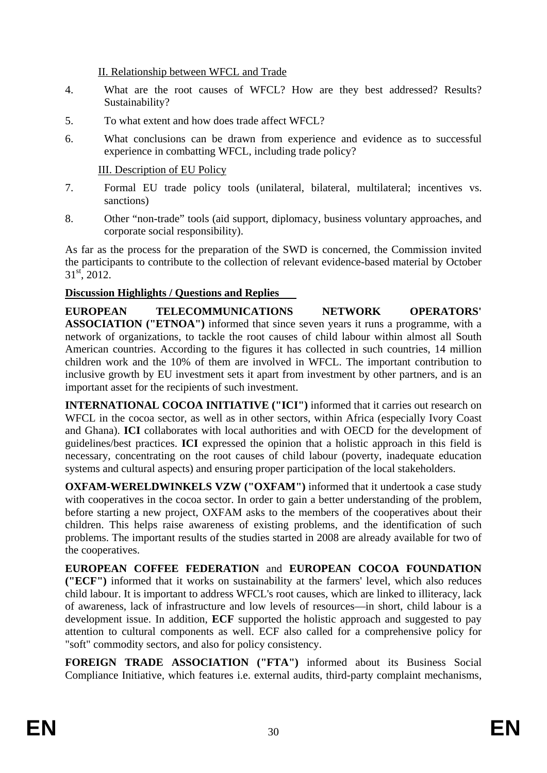II. Relationship between WFCL and Trade

- 4. What are the root causes of WFCL? How are they best addressed? Results? Sustainability?
- 5. To what extent and how does trade affect WFCL?
- 6. What conclusions can be drawn from experience and evidence as to successful experience in combatting WFCL, including trade policy?

III. Description of EU Policy

- 7. Formal EU trade policy tools (unilateral, bilateral, multilateral; incentives vs. sanctions)
- 8. Other "non-trade" tools (aid support, diplomacy, business voluntary approaches, and corporate social responsibility).

As far as the process for the preparation of the SWD is concerned, the Commission invited the participants to contribute to the collection of relevant evidence-based material by October  $31<sup>st</sup>$ , 2012.

## **Discussion Highlights / Questions and Replies**

**EUROPEAN TELECOMMUNICATIONS NETWORK OPERATORS' ASSOCIATION ("ETNOA")** informed that since seven years it runs a programme, with a network of organizations, to tackle the root causes of child labour within almost all South American countries. According to the figures it has collected in such countries, 14 million children work and the 10% of them are involved in WFCL. The important contribution to inclusive growth by EU investment sets it apart from investment by other partners, and is an important asset for the recipients of such investment.

**INTERNATIONAL COCOA INITIATIVE ("ICI")** informed that it carries out research on WFCL in the cocoa sector, as well as in other sectors, within Africa (especially Ivory Coast and Ghana). **ICI** collaborates with local authorities and with OECD for the development of guidelines/best practices. **ICI** expressed the opinion that a holistic approach in this field is necessary, concentrating on the root causes of child labour (poverty, inadequate education systems and cultural aspects) and ensuring proper participation of the local stakeholders.

**OXFAM-WERELDWINKELS VZW ("OXFAM")** informed that it undertook a case study with cooperatives in the cocoa sector. In order to gain a better understanding of the problem, before starting a new project, OXFAM asks to the members of the cooperatives about their children. This helps raise awareness of existing problems, and the identification of such problems. The important results of the studies started in 2008 are already available for two of the cooperatives.

**EUROPEAN COFFEE FEDERATION** and **EUROPEAN COCOA FOUNDATION ("ECF")** informed that it works on sustainability at the farmers' level, which also reduces child labour. It is important to address WFCL's root causes, which are linked to illiteracy, lack of awareness, lack of infrastructure and low levels of resources—in short, child labour is a development issue. In addition, **ECF** supported the holistic approach and suggested to pay attention to cultural components as well. ECF also called for a comprehensive policy for "soft" commodity sectors, and also for policy consistency.

**FOREIGN TRADE ASSOCIATION ("FTA")** informed about its Business Social Compliance Initiative, which features i.e. external audits, third-party complaint mechanisms,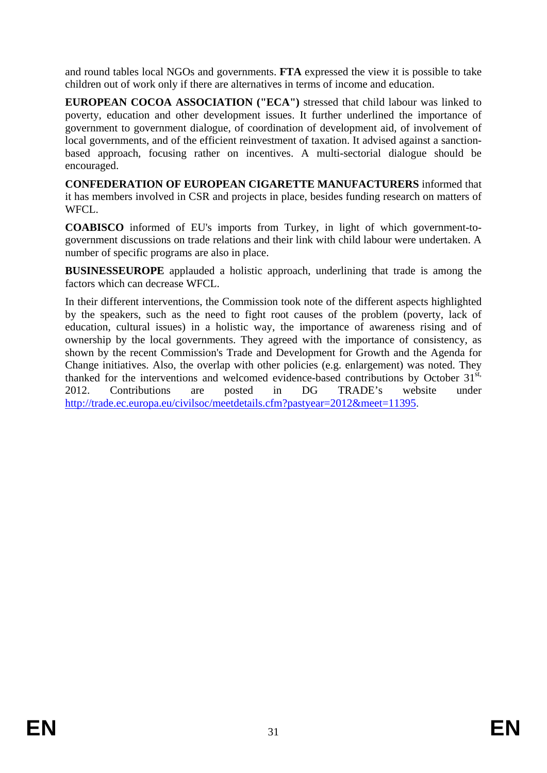and round tables local NGOs and governments. **FTA** expressed the view it is possible to take children out of work only if there are alternatives in terms of income and education.

**EUROPEAN COCOA ASSOCIATION ("ECA")** stressed that child labour was linked to poverty, education and other development issues. It further underlined the importance of government to government dialogue, of coordination of development aid, of involvement of local governments, and of the efficient reinvestment of taxation. It advised against a sanctionbased approach, focusing rather on incentives. A multi-sectorial dialogue should be encouraged.

**CONFEDERATION OF EUROPEAN CIGARETTE MANUFACTURERS** informed that it has members involved in CSR and projects in place, besides funding research on matters of WFCL.

**COABISCO** informed of EU's imports from Turkey, in light of which government-togovernment discussions on trade relations and their link with child labour were undertaken. A number of specific programs are also in place.

**BUSINESSEUROPE** applauded a holistic approach, underlining that trade is among the factors which can decrease WFCL.

In their different interventions, the Commission took note of the different aspects highlighted by the speakers, such as the need to fight root causes of the problem (poverty, lack of education, cultural issues) in a holistic way, the importance of awareness rising and of ownership by the local governments. They agreed with the importance of consistency, as shown by the recent Commission's Trade and Development for Growth and the Agenda for Change initiatives. Also, the overlap with other policies (e.g. enlargement) was noted. They thanked for the interventions and welcomed evidence-based contributions by October 31<sup>st,</sup> 2012. Contributions are posted in DG TRADE's website under [http://trade.ec.europa.eu/civilsoc/meetdetails.cfm?pastyear=2012&meet=11395.](http://trade.ec.europa.eu/civilsoc/meetdetails.cfm?pastyear=2012&meet=11395)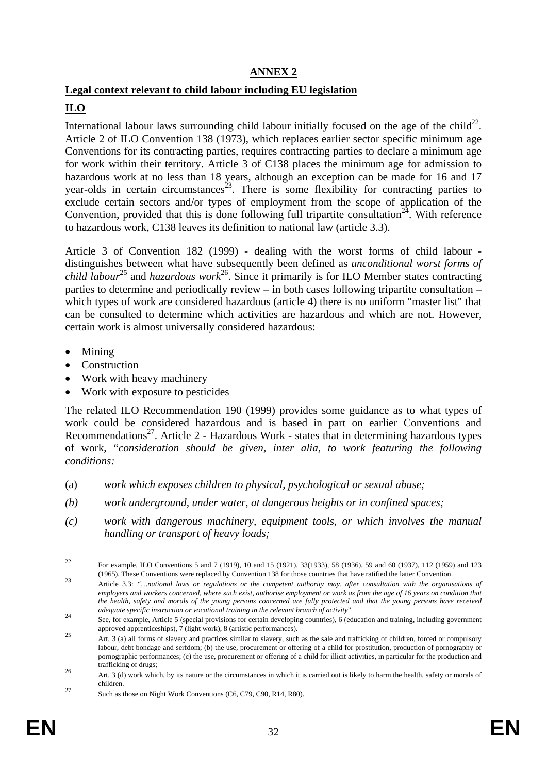## **ANNEX 2**

## **Legal context relevant to child labour including EU legislation**

## **ILO**

International labour laws surrounding child labour initially focused on the age of the child<sup>22</sup>. Article 2 of ILO Convention 138 (1973), which replaces earlier sector specific minimum age Conventions for its contracting parties, requires contracting parties to declare a minimum age for work within their territory. Article 3 of C138 places the minimum age for admission to hazardous work at no less than 18 years, although an exception can be made for 16 and 17 year-olds in certain circumstances<sup>23</sup>. There is some flexibility for contracting parties to exclude certain sectors and/or types of employment from the scope of application of the Convention, provided that this is done following full tripartite consultation<sup>24</sup>. With reference to hazardous work, C138 leaves its definition to national law (article 3.3).

Article 3 of Convention 182 (1999) - dealing with the worst forms of child labour distinguishes between what have subsequently been defined as *unconditional worst forms of child labour*<sup>25</sup> and *hazardous work*<sup>26</sup>. Since it primarily is for ILO Member states contracting parties to determine and periodically review – in both cases following tripartite consultation – which types of work are considered hazardous (article 4) there is no uniform "master list" that can be consulted to determine which activities are hazardous and which are not. However, certain work is almost universally considered hazardous:

- Mining
- Construction
- Work with heavy machinery
- Work with exposure to pesticides

The related ILO Recommendation 190 (1999) provides some guidance as to what types of work could be considered hazardous and is based in part on earlier Conventions and Recommendations<sup>27</sup>. Article 2 - Hazardous Work - states that in determining hazardous types of work, "*consideration should be given, inter alia, to work featuring the following conditions:* 

- (a) *work which exposes children to physical, psychological or sexual abuse;*
- *(b) work underground, under water, at dangerous heights or in confined spaces;*
- *(c) work with dangerous machinery, equipment tools, or which involves the manual handling or transport of heavy loads;*

22

<sup>22</sup> For example, ILO Conventions 5 and 7 (1919), 10 and 15 (1921), 33(1933), 58 (1936), 59 and 60 (1937), 112 (1959) and 123

<sup>(1965).</sup> These Conventions were replaced by Convention 138 for those countries that have ratified the latter Convention.<br>
Article 3.3: "...national laws or regulations or the competent authority may, after consultation with *employers and workers concerned, where such exist, authorise employment or work as from the age of 16 years on condition that the health, safety and morals of the young persons concerned are fully protected and that the young persons have received* 

*adequate specific instruction or vocational training in the relevant branch of activity*"<br>See, for example, Article 5 (special provisions for certain developing countries), 6 (education and training, including government

approved apprenticeships), 7 (light work), 8 (artistic performances). 25 Art. 3 (a) all forms of slavery and practices similar to slavery, such as the sale and trafficking of children, forced or compulsory labour, debt bondage and serfdom; (b) the use, procurement or offering of a child for prostitution, production of pornography or pornographic performances; (c) the use, procurement or offering of a child for illicit activities, in particular for the production and trafficking of drugs;<br>26 Art. 3 (d) work which, by its nature or the circumstances in which it is carried out is likely to harm the health, safety or morals of

children.<br><sup>27</sup> Such as those on Night Work Conventions (C6, C79, C90, R14, R80).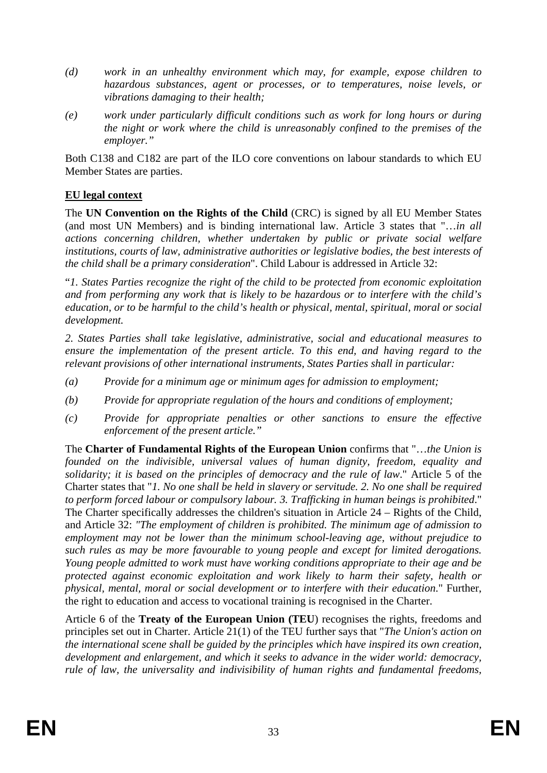- *(d) work in an unhealthy environment which may, for example, expose children to hazardous substances, agent or processes, or to temperatures, noise levels, or vibrations damaging to their health;*
- *(e) work under particularly difficult conditions such as work for long hours or during the night or work where the child is unreasonably confined to the premises of the employer."*

Both C138 and C182 are part of the ILO core conventions on labour standards to which EU Member States are parties.

## **EU legal context**

The **UN Convention on the Rights of the Child** (CRC) is signed by all EU Member States (and most UN Members) and is binding international law. Article 3 states that "…*in all actions concerning children, whether undertaken by public or private social welfare institutions, courts of law, administrative authorities or legislative bodies, the best interests of the child shall be a primary consideration*". Child Labour is addressed in Article 32:

"*1. States Parties recognize the right of the child to be protected from economic exploitation and from performing any work that is likely to be hazardous or to interfere with the child's education, or to be harmful to the child's health or physical, mental, spiritual, moral or social development.* 

*2. States Parties shall take legislative, administrative, social and educational measures to ensure the implementation of the present article. To this end, and having regard to the relevant provisions of other international instruments, States Parties shall in particular:* 

- *(a) Provide for a minimum age or minimum ages for admission to employment;*
- *(b) Provide for appropriate regulation of the hours and conditions of employment;*
- *(c) Provide for appropriate penalties or other sanctions to ensure the effective enforcement of the present article."*

The **Charter of Fundamental Rights of the European Union** confirms that "…*the Union is founded on the indivisible, universal values of human dignity, freedom, equality and solidarity; it is based on the principles of democracy and the rule of law*." Article 5 of the Charter states that "*1. No one shall be held in slavery or servitude. 2. No one shall be required to perform forced labour or compulsory labour. 3. Trafficking in human beings is prohibited*." The Charter specifically addresses the children's situation in Article 24 – Rights of the Child, and Article 32: *"The employment of children is prohibited. The minimum age of admission to employment may not be lower than the minimum school-leaving age, without prejudice to such rules as may be more favourable to young people and except for limited derogations. Young people admitted to work must have working conditions appropriate to their age and be protected against economic exploitation and work likely to harm their safety, health or physical, mental, moral or social development or to interfere with their education*." Further, the right to education and access to vocational training is recognised in the Charter.

Article 6 of the **Treaty of the European Union (TEU**) recognises the rights, freedoms and principles set out in Charter. Article 21(1) of the TEU further says that "*The Union's action on the international scene shall be guided by the principles which have inspired its own creation, development and enlargement, and which it seeks to advance in the wider world: democracy, rule of law, the universality and indivisibility of human rights and fundamental freedoms,*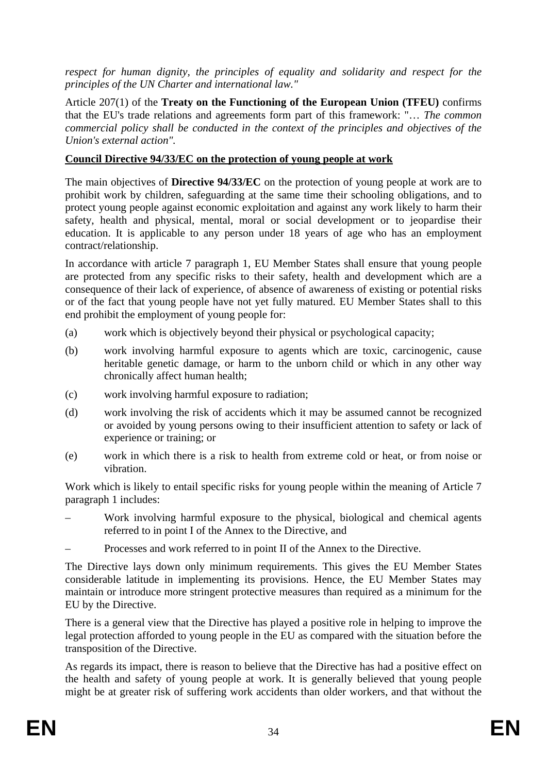*respect for human dignity, the principles of equality and solidarity and respect for the principles of the UN Charter and international law."*

Article 207(1) of the **Treaty on the Functioning of the European Union (TFEU)** confirms that the EU's trade relations and agreements form part of this framework: "… *The common commercial policy shall be conducted in the context of the principles and objectives of the Union's external action".* 

#### **Council Directive 94/33/EC on the protection of young people at work**

The main objectives of **Directive 94/33/EC** on the protection of young people at work are to prohibit work by children, safeguarding at the same time their schooling obligations, and to protect young people against economic exploitation and against any work likely to harm their safety, health and physical, mental, moral or social development or to jeopardise their education. It is applicable to any person under 18 years of age who has an employment contract/relationship.

In accordance with article 7 paragraph 1, EU Member States shall ensure that young people are protected from any specific risks to their safety, health and development which are a consequence of their lack of experience, of absence of awareness of existing or potential risks or of the fact that young people have not yet fully matured. EU Member States shall to this end prohibit the employment of young people for:

- (a) work which is objectively beyond their physical or psychological capacity;
- (b) work involving harmful exposure to agents which are toxic, carcinogenic, cause heritable genetic damage, or harm to the unborn child or which in any other way chronically affect human health;
- (c) work involving harmful exposure to radiation;
- (d) work involving the risk of accidents which it may be assumed cannot be recognized or avoided by young persons owing to their insufficient attention to safety or lack of experience or training; or
- (e) work in which there is a risk to health from extreme cold or heat, or from noise or vibration.

Work which is likely to entail specific risks for young people within the meaning of Article 7 paragraph 1 includes:

- Work involving harmful exposure to the physical, biological and chemical agents referred to in point I of the Annex to the Directive, and
- Processes and work referred to in point II of the Annex to the Directive.

The Directive lays down only minimum requirements. This gives the EU Member States considerable latitude in implementing its provisions. Hence, the EU Member States may maintain or introduce more stringent protective measures than required as a minimum for the EU by the Directive.

There is a general view that the Directive has played a positive role in helping to improve the legal protection afforded to young people in the EU as compared with the situation before the transposition of the Directive.

As regards its impact, there is reason to believe that the Directive has had a positive effect on the health and safety of young people at work. It is generally believed that young people might be at greater risk of suffering work accidents than older workers, and that without the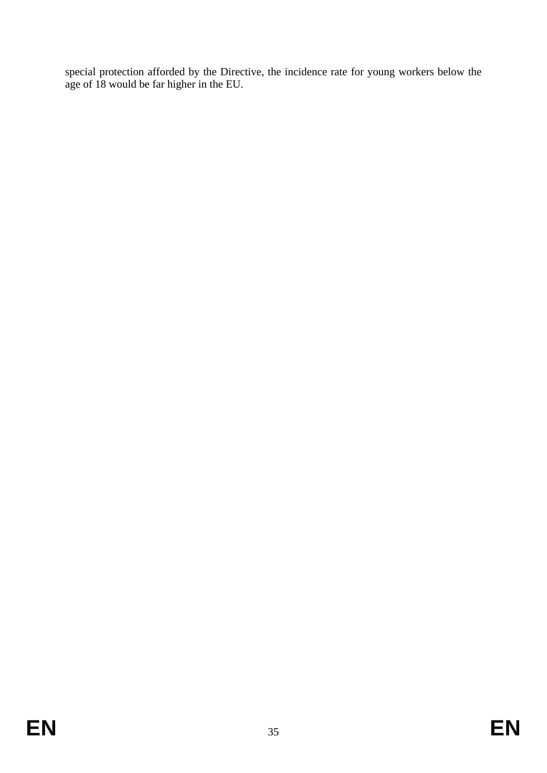special protection afforded by the Directive, the incidence rate for young workers below the age of 18 would be far higher in the EU.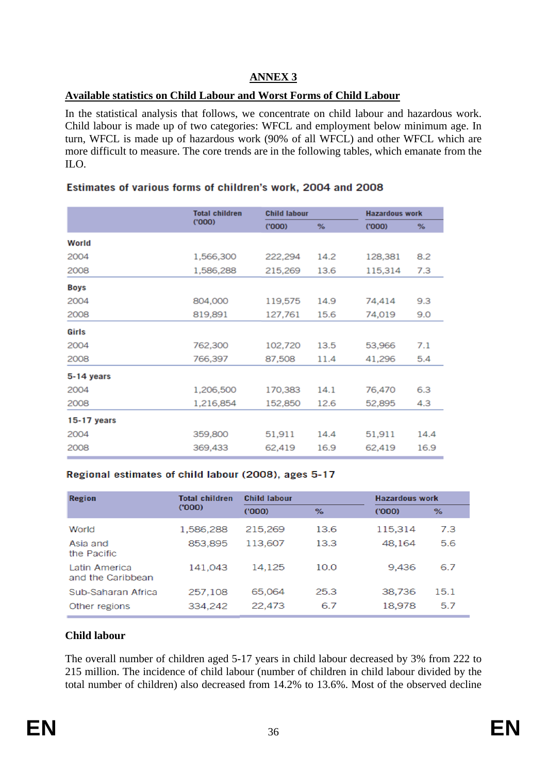### **ANNEX 3**

#### **Available statistics on Child Labour and Worst Forms of Child Labour**

In the statistical analysis that follows, we concentrate on child labour and hazardous work. Child labour is made up of two categories: WFCL and employment below minimum age. In turn, WFCL is made up of hazardous work (90% of all WFCL) and other WFCL which are more difficult to measure. The core trends are in the following tables, which emanate from the ILO.

|               | <b>Total children</b> | <b>Child labour</b> |      | <b>Hazardous work</b> |      |
|---------------|-----------------------|---------------------|------|-----------------------|------|
|               | (000)                 | (000)               | %    | (000)                 | %    |
| World         |                       |                     |      |                       |      |
| 2004          | 1,566,300             | 222,294             | 14.2 | 128,381               | 8.2  |
| 2008          | 1,586,288             | 215,269             | 13.6 | 115,314               | 7.3  |
| <b>Boys</b>   |                       |                     |      |                       |      |
| 2004          | 804,000               | 119,575             | 14.9 | 74,414                | 9.3  |
| 2008          | 819,891               | 127,761             | 15.6 | 74,019                | 9.0  |
| Girls         |                       |                     |      |                       |      |
| 2004          | 762,300               | 102,720             | 13.5 | 53,966                | 7.1  |
| 2008          | 766,397               | 87,508              | 11.4 | 41,296                | 5.4  |
| 5-14 years    |                       |                     |      |                       |      |
| 2004          | 1,206,500             | 170,383             | 14.1 | 76,470                | 6.3  |
| 2008          | 1,216,854             | 152,850             | 12.6 | 52,895                | 4.3  |
| $15-17$ years |                       |                     |      |                       |      |
| 2004          | 359,800               | 51,911              | 14.4 | 51,911                | 14.4 |
| 2008          | 369,433               | 62,419              | 16.9 | 62,419                | 16.9 |

#### Estimates of various forms of children's work, 2004 and 2008

#### Regional estimates of child labour (2008), ages 5-17

| Region                             | <b>Total children</b> | <b>Child labour</b> |      | <b>Hazardous work</b> |      |
|------------------------------------|-----------------------|---------------------|------|-----------------------|------|
|                                    | (000)                 | (000)               | %    | (000)                 | %    |
| World                              | 1,586,288             | 215,269             | 13.6 | 115,314               | 7.3  |
| Asia and<br>the Pacific            | 853,895               | 113.607             | 13.3 | 48.164                | 5.6  |
| Latin America<br>and the Caribbean | 141,043               | 14.125              | 10.0 | 9,436                 | 6.7  |
| Sub-Saharan Africa                 | 257,108               | 65,064              | 25.3 | 38,736                | 15.1 |
| Other regions                      | 334,242               | 22,473              | 6.7  | 18,978                | 5.7  |

#### **Child labour**

The overall number of children aged 5-17 years in child labour decreased by 3% from 222 to 215 million. The incidence of child labour (number of children in child labour divided by the total number of children) also decreased from 14.2% to 13.6%. Most of the observed decline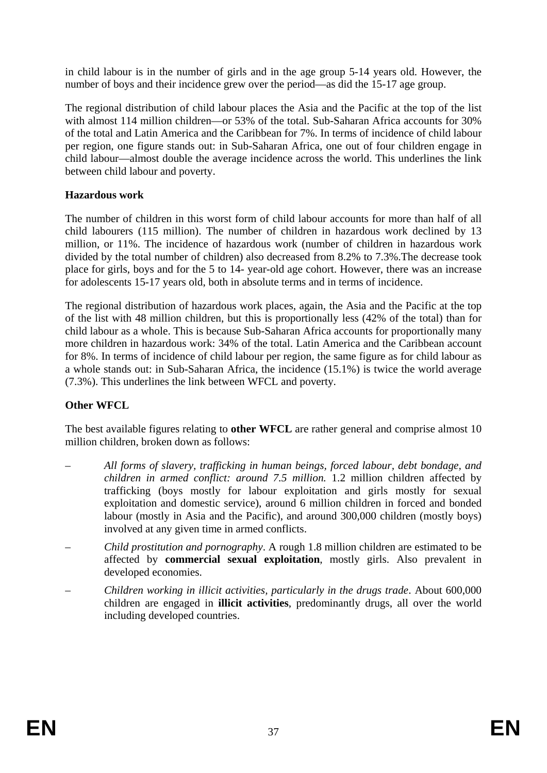in child labour is in the number of girls and in the age group 5-14 years old. However, the number of boys and their incidence grew over the period—as did the 15-17 age group.

The regional distribution of child labour places the Asia and the Pacific at the top of the list with almost 114 million children—or 53% of the total. Sub-Saharan Africa accounts for 30% of the total and Latin America and the Caribbean for 7%. In terms of incidence of child labour per region, one figure stands out: in Sub-Saharan Africa, one out of four children engage in child labour—almost double the average incidence across the world. This underlines the link between child labour and poverty.

## **Hazardous work**

The number of children in this worst form of child labour accounts for more than half of all child labourers (115 million). The number of children in hazardous work declined by 13 million, or 11%. The incidence of hazardous work (number of children in hazardous work divided by the total number of children) also decreased from 8.2% to 7.3%.The decrease took place for girls, boys and for the 5 to 14- year-old age cohort. However, there was an increase for adolescents 15-17 years old, both in absolute terms and in terms of incidence.

The regional distribution of hazardous work places, again, the Asia and the Pacific at the top of the list with 48 million children, but this is proportionally less (42% of the total) than for child labour as a whole. This is because Sub-Saharan Africa accounts for proportionally many more children in hazardous work: 34% of the total. Latin America and the Caribbean account for 8%. In terms of incidence of child labour per region, the same figure as for child labour as a whole stands out: in Sub-Saharan Africa, the incidence (15.1%) is twice the world average (7.3%). This underlines the link between WFCL and poverty.

#### **Other WFCL**

The best available figures relating to **other WFCL** are rather general and comprise almost 10 million children, broken down as follows:

- *All forms of slavery, trafficking in human beings, forced labour, debt bondage, and children in armed conflict: around 7.5 million.* 1.2 million children affected by trafficking (boys mostly for labour exploitation and girls mostly for sexual exploitation and domestic service), around 6 million children in forced and bonded labour (mostly in Asia and the Pacific), and around 300,000 children (mostly boys) involved at any given time in armed conflicts.
- *Child prostitution and pornography*. A rough 1.8 million children are estimated to be affected by **commercial sexual exploitation**, mostly girls. Also prevalent in developed economies.
- *Children working in illicit activities, particularly in the drugs trade*. About 600,000 children are engaged in **illicit activities**, predominantly drugs, all over the world including developed countries.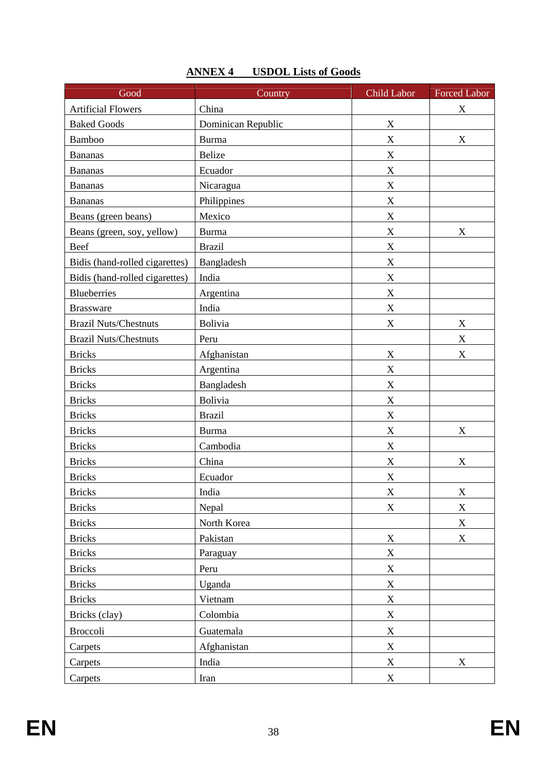| Good                           | Country            | Child Labor | <b>Forced Labor</b> |
|--------------------------------|--------------------|-------------|---------------------|
| <b>Artificial Flowers</b>      | China              |             | X                   |
| <b>Baked Goods</b>             | Dominican Republic | $\mathbf X$ |                     |
| Bamboo                         | <b>Burma</b>       | $\mathbf X$ | X                   |
| <b>Bananas</b>                 | <b>Belize</b>      | $\mathbf X$ |                     |
| <b>Bananas</b>                 | Ecuador            | $\mathbf X$ |                     |
| <b>Bananas</b>                 | Nicaragua          | $\mathbf X$ |                     |
| <b>Bananas</b>                 | Philippines        | $\mathbf X$ |                     |
| Beans (green beans)            | Mexico             | $\mathbf X$ |                     |
| Beans (green, soy, yellow)     | <b>Burma</b>       | $\mathbf X$ | X                   |
| Beef                           | <b>Brazil</b>      | $\mathbf X$ |                     |
| Bidis (hand-rolled cigarettes) | Bangladesh         | X           |                     |
| Bidis (hand-rolled cigarettes) | India              | $\mathbf X$ |                     |
| <b>Blueberries</b>             | Argentina          | $\mathbf X$ |                     |
| <b>Brassware</b>               | India              | $\mathbf X$ |                     |
| <b>Brazil Nuts/Chestnuts</b>   | <b>Bolivia</b>     | X           | X                   |
| <b>Brazil Nuts/Chestnuts</b>   | Peru               |             | $\mathbf X$         |
| <b>Bricks</b>                  | Afghanistan        | $\mathbf X$ | X                   |
| <b>Bricks</b>                  | Argentina          | $\mathbf X$ |                     |
| <b>Bricks</b>                  | Bangladesh         | $\mathbf X$ |                     |
| <b>Bricks</b>                  | Bolivia            | $\mathbf X$ |                     |
| <b>Bricks</b>                  | <b>Brazil</b>      | $\mathbf X$ |                     |
| <b>Bricks</b>                  | <b>Burma</b>       | $\mathbf X$ | X                   |
| <b>Bricks</b>                  | Cambodia           | $\mathbf X$ |                     |
| <b>Bricks</b>                  | China              | X           | X                   |
| <b>Bricks</b>                  | Ecuador            | X           |                     |
| <b>Bricks</b>                  | India              | X           | X                   |
| <b>Bricks</b>                  | Nepal              | X           | X                   |
| <b>Bricks</b>                  | North Korea        |             | X                   |
| <b>Bricks</b>                  | Pakistan           | $\mathbf X$ | $\mathbf X$         |
| <b>Bricks</b>                  | Paraguay           | $\mathbf X$ |                     |
| <b>Bricks</b>                  | Peru               | $\mathbf X$ |                     |
| <b>Bricks</b>                  | Uganda             | $\mathbf X$ |                     |
| <b>Bricks</b>                  | Vietnam            | $\mathbf X$ |                     |
| Bricks (clay)                  | Colombia           | $\mathbf X$ |                     |
| <b>Broccoli</b>                | Guatemala          | $\mathbf X$ |                     |
| Carpets                        | Afghanistan        | $\mathbf X$ |                     |
| Carpets                        | India              | $\mathbf X$ | X                   |
| Carpets                        | Iran               | $\mathbf X$ |                     |

# **ANNEX 4 USDOL Lists of Goods**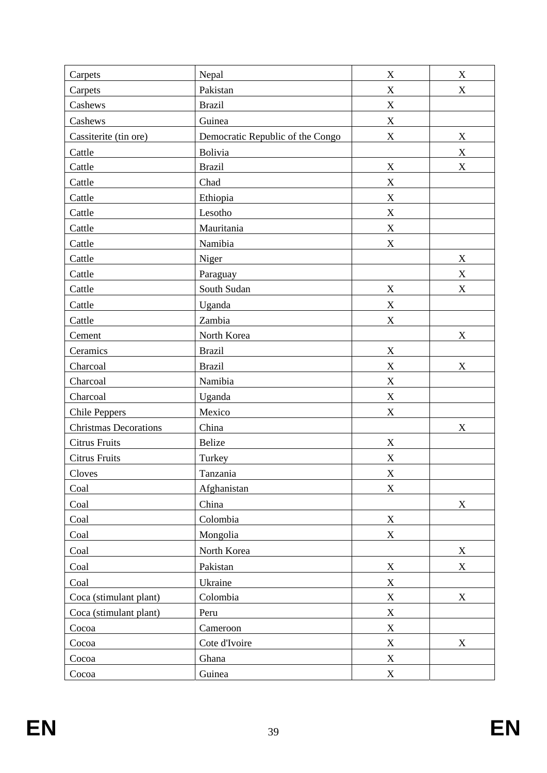| Carpets                      | Nepal                            | $\mathbf X$               | $\mathbf X$               |
|------------------------------|----------------------------------|---------------------------|---------------------------|
| Carpets                      | Pakistan                         | $\mathbf X$               | $\boldsymbol{\mathrm{X}}$ |
| Cashews                      | <b>Brazil</b>                    | $\mathbf X$               |                           |
| Cashews                      | Guinea                           | $\mathbf X$               |                           |
| Cassiterite (tin ore)        | Democratic Republic of the Congo | $\mathbf X$               | $\mathbf X$               |
| Cattle                       | Bolivia                          |                           | $\mathbf X$               |
| Cattle                       | <b>Brazil</b>                    | $\mathbf X$               | $\mathbf X$               |
| Cattle                       | Chad                             | $\mathbf X$               |                           |
| Cattle                       | Ethiopia                         | $\mathbf X$               |                           |
| Cattle                       | Lesotho                          | $\mathbf X$               |                           |
| Cattle                       | Mauritania                       | $\mathbf X$               |                           |
| Cattle                       | Namibia                          | $\mathbf X$               |                           |
| Cattle                       | Niger                            |                           | $\mathbf X$               |
| Cattle                       | Paraguay                         |                           | $\mathbf X$               |
| Cattle                       | South Sudan                      | $\mathbf X$               | X                         |
| Cattle                       | Uganda                           | $\mathbf X$               |                           |
| Cattle                       | Zambia                           | $\mathbf X$               |                           |
| Cement                       | North Korea                      |                           | $\mathbf X$               |
| Ceramics                     | <b>Brazil</b>                    | $\mathbf X$               |                           |
| Charcoal                     | <b>Brazil</b>                    | X                         | $\boldsymbol{\mathrm{X}}$ |
| Charcoal                     | Namibia                          | $\mathbf X$               |                           |
| Charcoal                     | Uganda                           | $\mathbf X$               |                           |
| <b>Chile Peppers</b>         | Mexico                           | $\mathbf X$               |                           |
| <b>Christmas Decorations</b> | China                            |                           | $\mathbf X$               |
| <b>Citrus Fruits</b>         | Belize                           | $\mathbf X$               |                           |
| <b>Citrus Fruits</b>         | Turkey                           | $\mathbf X$               |                           |
| Cloves                       | Tanzania                         | $\boldsymbol{\mathrm{X}}$ |                           |
| Coal                         | Afghanistan                      | $\mathbf X$               |                           |
| Coal                         | China                            |                           | $\mathbf X$               |
| Coal                         | Colombia                         | $\mathbf X$               |                           |
| Coal                         | Mongolia                         | $\mathbf X$               |                           |
| Coal                         | North Korea                      |                           | $\mathbf X$               |
| Coal                         | Pakistan                         | $\mathbf X$               | X                         |
| Coal                         | Ukraine                          | $\overline{X}$            |                           |
| Coca (stimulant plant)       | Colombia                         | $\mathbf X$               | $\mathbf X$               |
| Coca (stimulant plant)       | Peru                             | $\mathbf X$               |                           |
| Cocoa                        | Cameroon                         | $\mathbf X$               |                           |
| Cocoa                        | Cote d'Ivoire                    | $\mathbf X$               | $\mathbf X$               |
| Cocoa                        | Ghana                            | $\boldsymbol{\mathrm{X}}$ |                           |
| Cocoa                        | Guinea                           | $\boldsymbol{\mathrm{X}}$ |                           |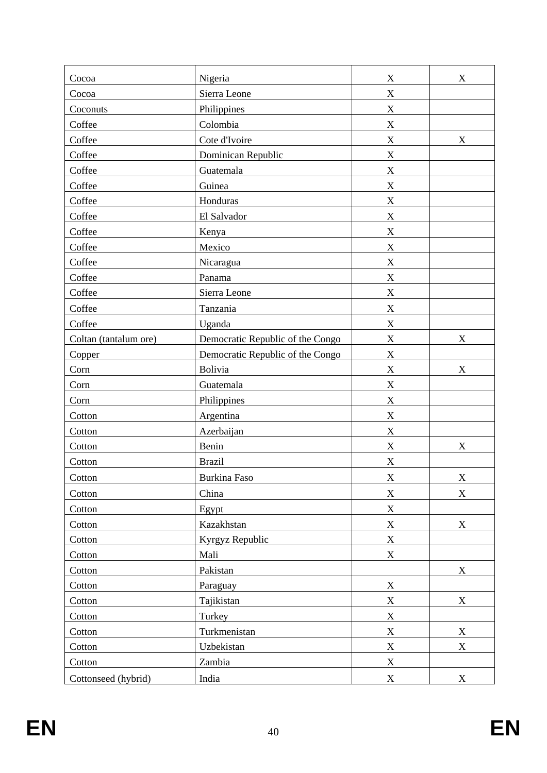| Cocoa                 | Nigeria                          | X                         | X                         |
|-----------------------|----------------------------------|---------------------------|---------------------------|
| Cocoa                 | Sierra Leone                     | $\mathbf X$               |                           |
| Coconuts              | Philippines                      | $\mathbf X$               |                           |
| Coffee                | Colombia                         | X                         |                           |
| Coffee                | Cote d'Ivoire                    | $\boldsymbol{\mathrm{X}}$ | $\boldsymbol{\mathrm{X}}$ |
| Coffee                | Dominican Republic               | $\mathbf X$               |                           |
| Coffee                | Guatemala                        | $\mathbf X$               |                           |
| Coffee                | Guinea                           | X                         |                           |
| Coffee                | Honduras                         | X                         |                           |
| Coffee                | El Salvador                      | $\mathbf X$               |                           |
| Coffee                | Kenya                            | X                         |                           |
| Coffee                | Mexico                           | X                         |                           |
| Coffee                | Nicaragua                        | X                         |                           |
| Coffee                | Panama                           | $\mathbf X$               |                           |
| Coffee                | Sierra Leone                     | X                         |                           |
| Coffee                | Tanzania                         | $\boldsymbol{\mathrm{X}}$ |                           |
| Coffee                | Uganda                           | $\mathbf X$               |                           |
| Coltan (tantalum ore) | Democratic Republic of the Congo | X                         | $\boldsymbol{\mathrm{X}}$ |
| Copper                | Democratic Republic of the Congo | $\mathbf X$               |                           |
| Corn                  | Bolivia                          | $\mathbf X$               | X                         |
| Corn                  | Guatemala                        | X                         |                           |
| Corn                  | Philippines                      | X                         |                           |
| Cotton                | Argentina                        | X                         |                           |
| Cotton                | Azerbaijan                       | $\mathbf X$               |                           |
| Cotton                | Benin                            | X                         | X                         |
| Cotton                | <b>Brazil</b>                    | X                         |                           |
| Cotton                | <b>Burkina Faso</b>              | $\boldsymbol{\mathrm{X}}$ | $\mathbf X$               |
| Cotton                | China                            | $\boldsymbol{\mathrm{X}}$ | $\boldsymbol{\mathrm{X}}$ |
| Cotton                | Egypt                            | $\mathbf X$               |                           |
| Cotton                | Kazakhstan                       | $\mathbf X$               | X                         |
| Cotton                | Kyrgyz Republic                  | $\mathbf X$               |                           |
| Cotton                | Mali                             | $\mathbf X$               |                           |
| Cotton                | Pakistan                         |                           | X                         |
| Cotton                | Paraguay                         | $\mathbf X$               |                           |
|                       |                                  |                           | X                         |
| Cotton                | Tajikistan<br>Turkey             | X<br>$\mathbf X$          |                           |
| Cotton                | Turkmenistan                     |                           |                           |
| Cotton                |                                  | $\mathbf X$               | $\mathbf X$               |
| Cotton                | Uzbekistan                       | $\mathbf X$               | $\boldsymbol{\mathrm{X}}$ |
| Cotton                | Zambia                           | $\mathbf X$               |                           |
| Cottonseed (hybrid)   | India                            | $\mathbf X$               | $\boldsymbol{\mathrm{X}}$ |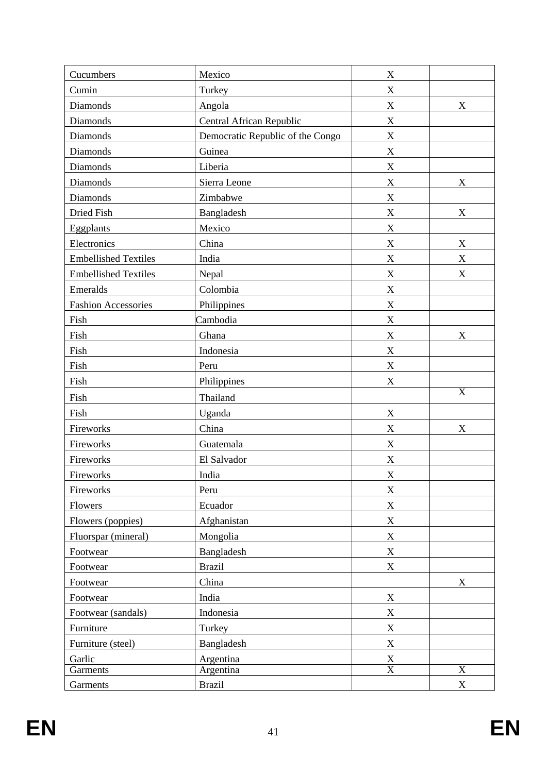| Cucumbers                   | Mexico                           | $\mathbf X$               |                           |
|-----------------------------|----------------------------------|---------------------------|---------------------------|
| Cumin                       | Turkey                           | $\boldsymbol{\mathrm{X}}$ |                           |
| Diamonds                    | Angola                           | $\mathbf X$               | X                         |
| Diamonds                    | Central African Republic         | $\mathbf X$               |                           |
| Diamonds                    | Democratic Republic of the Congo | $\mathbf X$               |                           |
| Diamonds                    | Guinea                           | $\mathbf X$               |                           |
| <b>Diamonds</b>             | Liberia                          | $\mathbf X$               |                           |
| <b>Diamonds</b>             | Sierra Leone                     | $\mathbf X$               | X                         |
| Diamonds                    | Zimbabwe                         | $\mathbf X$               |                           |
| Dried Fish                  | Bangladesh                       | X                         | $\boldsymbol{\mathrm{X}}$ |
| Eggplants                   | Mexico                           | $\mathbf X$               |                           |
| Electronics                 | China                            | $\mathbf X$               | $\mathbf X$               |
| <b>Embellished Textiles</b> | India                            | $\mathbf X$               | X                         |
| <b>Embellished Textiles</b> | Nepal                            | X                         | $\mathbf X$               |
| Emeralds                    | Colombia                         | $\mathbf X$               |                           |
| <b>Fashion Accessories</b>  | Philippines                      | $\mathbf X$               |                           |
| Fish                        | Cambodia                         | $\mathbf X$               |                           |
| Fish                        | Ghana                            | $\mathbf X$               | X                         |
| Fish                        | Indonesia                        | X                         |                           |
| Fish                        | Peru                             | $\mathbf X$               |                           |
| Fish                        | Philippines                      | $\mathbf X$               |                           |
| Fish                        | Thailand                         |                           | $\overline{X}$            |
| Fish                        | Uganda                           | $\mathbf X$               |                           |
| Fireworks                   | China                            | X                         | X                         |
| Fireworks                   | Guatemala                        | X                         |                           |
| Fireworks                   | El Salvador                      | X                         |                           |
| Fireworks                   | India                            | X                         |                           |
| Fireworks                   | Peru                             | $\mathbf X$               |                           |
| Flowers                     | Ecuador                          | $\mathbf X$               |                           |
| Flowers (poppies)           | Afghanistan                      | X                         |                           |
| Fluorspar (mineral)         | Mongolia                         | $\mathbf X$               |                           |
| Footwear                    | Bangladesh                       | $\mathbf X$               |                           |
| Footwear                    | <b>Brazil</b>                    | $\mathbf X$               |                           |
| Footwear                    | China                            |                           | X                         |
| Footwear                    | India                            | $\mathbf X$               |                           |
| Footwear (sandals)          | Indonesia                        | $\mathbf X$               |                           |
| Furniture                   | Turkey                           | $\mathbf X$               |                           |
| Furniture (steel)           | Bangladesh                       | X                         |                           |
| Garlic                      | Argentina                        | $\mathbf X$               |                           |
| Garments                    | Argentina                        | $\overline{\text{X}}$     | $\overline{\text{X}}$     |
| Garments                    | <b>Brazil</b>                    |                           | X                         |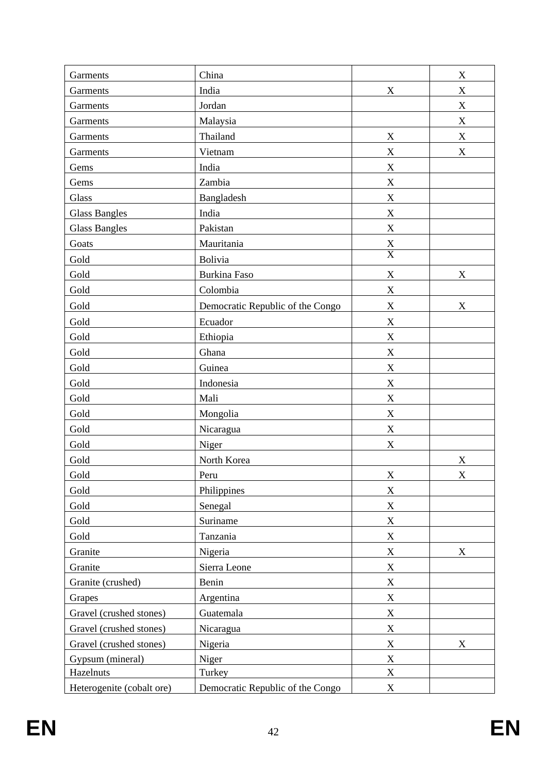| Garments                  | China                            |                           | $\mathbf X$               |
|---------------------------|----------------------------------|---------------------------|---------------------------|
| Garments                  | India                            | $\mathbf X$               | X                         |
| Garments                  | Jordan                           |                           | $\mathbf X$               |
| Garments                  | Malaysia                         |                           | $\mathbf X$               |
| Garments                  | Thailand                         | X                         | $\mathbf X$               |
| Garments                  | Vietnam                          | X                         | X                         |
| Gems                      | India                            | $\mathbf X$               |                           |
| Gems                      | Zambia                           | X                         |                           |
| Glass                     | Bangladesh                       | $\mathbf X$               |                           |
| <b>Glass Bangles</b>      | India                            | $\mathbf X$               |                           |
| <b>Glass Bangles</b>      | Pakistan                         | $\mathbf X$               |                           |
| Goats                     | Mauritania                       | $\frac{X}{X}$             |                           |
| Gold                      | Bolivia                          |                           |                           |
| Gold                      | <b>Burkina Faso</b>              | $\mathbf X$               | X                         |
| Gold                      | Colombia                         | $\mathbf X$               |                           |
| Gold                      | Democratic Republic of the Congo | X                         | $\boldsymbol{\mathrm{X}}$ |
| Gold                      | Ecuador                          | $\boldsymbol{\mathrm{X}}$ |                           |
| Gold                      | Ethiopia                         | $\mathbf X$               |                           |
| Gold                      | Ghana                            | $\mathbf X$               |                           |
| Gold                      | Guinea                           | $\mathbf X$               |                           |
| Gold                      | Indonesia                        | $\mathbf X$               |                           |
| Gold                      | Mali                             | $\mathbf X$               |                           |
| Gold                      | Mongolia                         | $\mathbf X$               |                           |
| Gold                      | Nicaragua                        | $\mathbf X$               |                           |
| Gold                      | Niger                            | $\mathbf X$               |                           |
| Gold                      | North Korea                      |                           | $\mathbf X$               |
| Gold                      | Peru                             | $\mathbf X$               | X                         |
| Gold                      | Philippines                      | X                         |                           |
| Gold                      | Senegal                          | $\mathbf X$               |                           |
| Gold                      | Suriname                         | $\mathbf X$               |                           |
| Gold                      | Tanzania                         | $\mathbf X$               |                           |
| Granite                   | Nigeria                          | $\mathbf X$               | X                         |
| Granite                   | Sierra Leone                     | X                         |                           |
| Granite (crushed)         | Benin                            | $\boldsymbol{\mathrm{X}}$ |                           |
| Grapes                    | Argentina                        | $\mathbf X$               |                           |
| Gravel (crushed stones)   | Guatemala                        | $\mathbf X$               |                           |
| Gravel (crushed stones)   | Nicaragua                        | $\mathbf X$               |                           |
| Gravel (crushed stones)   | Nigeria                          | $\boldsymbol{\mathrm{X}}$ | X                         |
| Gypsum (mineral)          | Niger                            | $\mathbf X$               |                           |
| Hazelnuts                 | Turkey                           | $\mathbf X$               |                           |
| Heterogenite (cobalt ore) | Democratic Republic of the Congo | X                         |                           |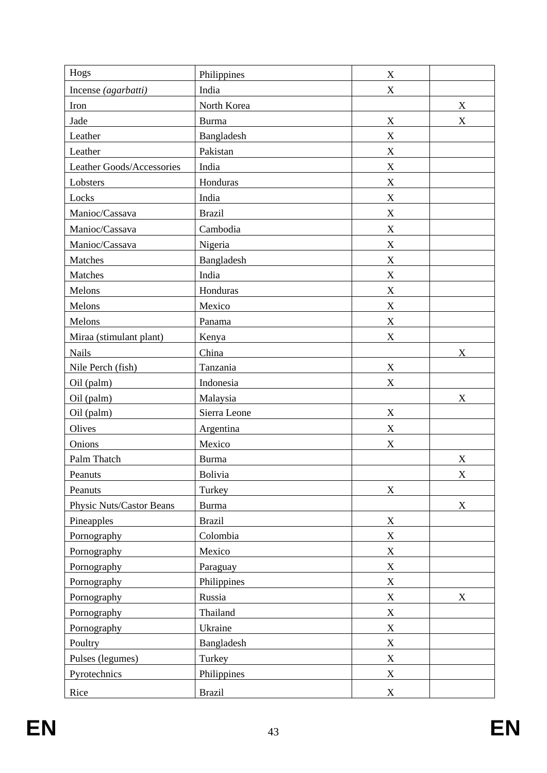| Hogs                      | Philippines   | $\mathbf X$               |                           |
|---------------------------|---------------|---------------------------|---------------------------|
| Incense (agarbatti)       | India         | $\boldsymbol{\mathrm{X}}$ |                           |
| Iron                      | North Korea   |                           | X                         |
| Jade                      | <b>Burma</b>  | $\mathbf X$               | $\mathbf X$               |
| Leather                   | Bangladesh    | $\mathbf X$               |                           |
| Leather                   | Pakistan      | $\mathbf X$               |                           |
| Leather Goods/Accessories | India         | $\mathbf X$               |                           |
| Lobsters                  | Honduras      | $\mathbf X$               |                           |
| Locks                     | India         | X                         |                           |
| Manioc/Cassava            | <b>Brazil</b> | $\boldsymbol{\mathrm{X}}$ |                           |
| Manioc/Cassava            | Cambodia      | $\mathbf X$               |                           |
| Manioc/Cassava            | Nigeria       | $\mathbf X$               |                           |
| Matches                   | Bangladesh    | $\mathbf X$               |                           |
| Matches                   | India         | $\mathbf X$               |                           |
| Melons                    | Honduras      | $\mathbf X$               |                           |
| Melons                    | Mexico        | $\mathbf X$               |                           |
| Melons                    | Panama        | X                         |                           |
| Miraa (stimulant plant)   | Kenya         | $\mathbf X$               |                           |
| <b>Nails</b>              | China         |                           | X                         |
| Nile Perch (fish)         | Tanzania      | $\mathbf X$               |                           |
| Oil (palm)                | Indonesia     | $\mathbf X$               |                           |
| Oil (palm)                | Malaysia      |                           | $\boldsymbol{\mathrm{X}}$ |
| Oil (palm)                | Sierra Leone  | $\mathbf X$               |                           |
| Olives                    | Argentina     | $\boldsymbol{\mathrm{X}}$ |                           |
| Onions                    | Mexico        | X                         |                           |
| Palm Thatch               | <b>Burma</b>  |                           | X                         |
| Peanuts                   | Bolivia       |                           | X                         |
| Peanuts                   | Turkey        | $\mathbf X$               |                           |
| Physic Nuts/Castor Beans  | <b>Burma</b>  |                           | $\boldsymbol{\mathrm{X}}$ |
| Pineapples                | <b>Brazil</b> | $\mathbf X$               |                           |
| Pornography               | Colombia      | $\mathbf X$               |                           |
| Pornography               | Mexico        | $\mathbf X$               |                           |
| Pornography               | Paraguay      | $\mathbf X$               |                           |
| Pornography               | Philippines   | $\mathbf X$               |                           |
| Pornography               | Russia        | $\mathbf X$               | $\boldsymbol{\mathrm{X}}$ |
| Pornography               | Thailand      | $\mathbf X$               |                           |
| Pornography               | Ukraine       | $\mathbf X$               |                           |
| Poultry                   | Bangladesh    | $\mathbf X$               |                           |
| Pulses (legumes)          | Turkey        | $\mathbf X$               |                           |
| Pyrotechnics              | Philippines   | $\mathbf X$               |                           |
| Rice                      | <b>Brazil</b> | $\mathbf X$               |                           |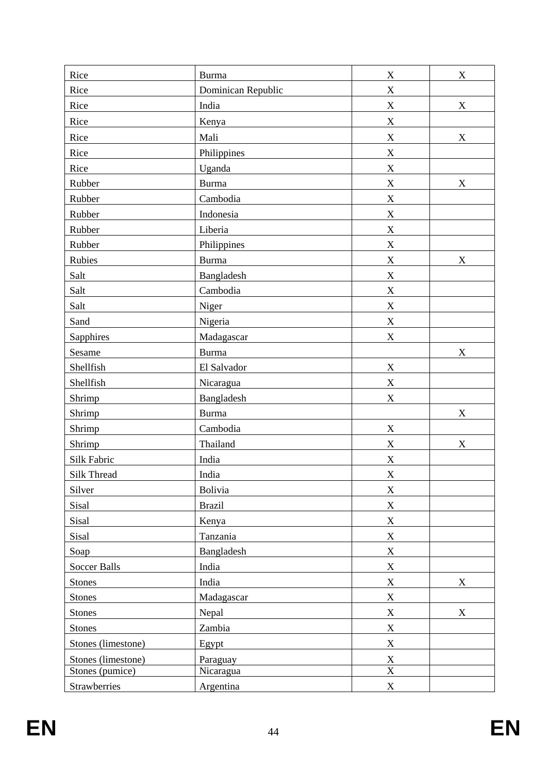| Rice               | <b>Burma</b>       | $\boldsymbol{\mathrm{X}}$ | $\mathbf X$               |
|--------------------|--------------------|---------------------------|---------------------------|
| Rice               | Dominican Republic | $\mathbf X$               |                           |
| Rice               | India              | $\mathbf X$               | X                         |
| Rice               | Kenya              | $\mathbf X$               |                           |
| Rice               | Mali               | $\mathbf X$               | $\mathbf X$               |
| Rice               | Philippines        | X                         |                           |
| Rice               | Uganda             | X                         |                           |
| Rubber             | <b>Burma</b>       | $\mathbf X$               | $\boldsymbol{\mathrm{X}}$ |
| Rubber             | Cambodia           | $\mathbf X$               |                           |
| Rubber             | Indonesia          | $\mathbf X$               |                           |
| Rubber             | Liberia            | X                         |                           |
| Rubber             | Philippines        | $\mathbf X$               |                           |
| Rubies             | <b>Burma</b>       | $\mathbf X$               | X                         |
| Salt               | Bangladesh         | $\mathbf X$               |                           |
| Salt               | Cambodia           | $\mathbf X$               |                           |
| Salt               | Niger              | X                         |                           |
| Sand               | Nigeria            | $\mathbf X$               |                           |
| Sapphires          | Madagascar         | $\mathbf X$               |                           |
| Sesame             | <b>Burma</b>       |                           | $\mathbf X$               |
| Shellfish          | El Salvador        | X                         |                           |
| Shellfish          | Nicaragua          | $\mathbf X$               |                           |
| Shrimp             | Bangladesh         | $\mathbf X$               |                           |
| Shrimp             | <b>Burma</b>       |                           | X                         |
| Shrimp             | Cambodia           | $\mathbf X$               |                           |
| Shrimp             | Thailand           | X                         | $\mathbf X$               |
| Silk Fabric        | India              | X                         |                           |
| Silk Thread        | India              | $\mathbf X$               |                           |
| Silver             | <b>Bolivia</b>     | $\mathbf X$               |                           |
| Sisal              | <b>Brazil</b>      | $\mathbf X$               |                           |
| Sisal              | Kenya              | $\mathbf X$               |                           |
| Sisal              | Tanzania           | $\mathbf X$               |                           |
| Soap               | Bangladesh         | $\mathbf X$               |                           |
| Soccer Balls       | India              | $\mathbf X$               |                           |
| <b>Stones</b>      | India              | $\mathbf X$               | X                         |
| Stones             | Madagascar         | $\mathbf X$               |                           |
| <b>Stones</b>      | Nepal              | $\mathbf X$               | X                         |
| <b>Stones</b>      | Zambia             | $\mathbf X$               |                           |
| Stones (limestone) | Egypt              | $\mathbf X$               |                           |
| Stones (limestone) | Paraguay           | $\bf{X}$                  |                           |
| Stones (pumice)    | Nicaragua          | $\overline{\text{X}}$     |                           |
| Strawberries       | Argentina          | $\mathbf X$               |                           |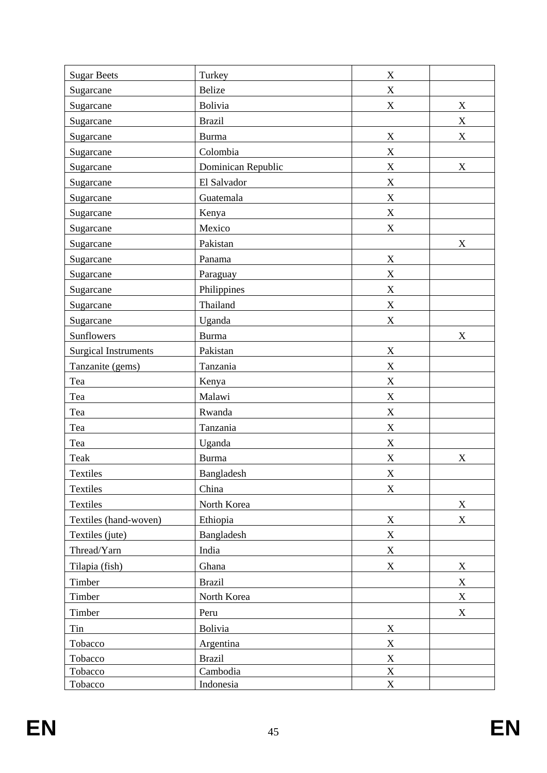| <b>Sugar Beets</b>          | Turkey             | $\boldsymbol{X}$          |                           |
|-----------------------------|--------------------|---------------------------|---------------------------|
| Sugarcane                   | <b>Belize</b>      | $\mathbf X$               |                           |
| Sugarcane                   | Bolivia            | $\mathbf X$               | $\mathbf X$               |
| Sugarcane                   | <b>Brazil</b>      |                           | $\mathbf X$               |
| Sugarcane                   | <b>Burma</b>       | $\mathbf X$               | $\boldsymbol{\mathrm{X}}$ |
| Sugarcane                   | Colombia           | $\mathbf X$               |                           |
| Sugarcane                   | Dominican Republic | $\mathbf X$               | X                         |
| Sugarcane                   | El Salvador        | $\mathbf X$               |                           |
| Sugarcane                   | Guatemala          | $\mathbf X$               |                           |
| Sugarcane                   | Kenya              | X                         |                           |
| Sugarcane                   | Mexico             | $\mathbf X$               |                           |
| Sugarcane                   | Pakistan           |                           | X                         |
| Sugarcane                   | Panama             | $\mathbf X$               |                           |
| Sugarcane                   | Paraguay           | $\mathbf X$               |                           |
| Sugarcane                   | Philippines        | $\mathbf X$               |                           |
| Sugarcane                   | Thailand           | $\mathbf X$               |                           |
| Sugarcane                   | Uganda             | $\mathbf X$               |                           |
| Sunflowers                  | <b>Burma</b>       |                           | X                         |
| <b>Surgical Instruments</b> | Pakistan           | $\mathbf X$               |                           |
| Tanzanite (gems)            | Tanzania           | X                         |                           |
| Tea                         | Kenya              | X                         |                           |
| Tea                         | Malawi             | $\mathbf X$               |                           |
| Tea                         | Rwanda             | $\mathbf X$               |                           |
| Tea                         | Tanzania           | X                         |                           |
| Tea                         | Uganda             | $\mathbf X$               |                           |
| Teak                        | <b>Burma</b>       | X                         | X                         |
| Textiles                    | Bangladesh         | X                         |                           |
| Textiles                    | China              | $\mathbf X$               |                           |
| <b>Textiles</b>             | North Korea        |                           | $\mathbf X$               |
| Textiles (hand-woven)       | Ethiopia           | $\mathbf X$               | $\mathbf X$               |
| Textiles (jute)             | Bangladesh         | $\mathbf X$               |                           |
| Thread/Yarn                 | India              | $\mathbf X$               |                           |
| Tilapia (fish)              | Ghana              | $\mathbf X$               | $\mathbf X$               |
| Timber                      | <b>Brazil</b>      |                           | X                         |
| Timber                      | North Korea        |                           | $\mathbf X$               |
| Timber                      | Peru               |                           | $\boldsymbol{\mathrm{X}}$ |
| Tin                         | Bolivia            | $\boldsymbol{\mathrm{X}}$ |                           |
| Tobacco                     | Argentina          | $\mathbf X$               |                           |
| Tobacco                     | <b>Brazil</b>      | $\mathbf X$               |                           |
| Tobacco                     | Cambodia           | $\mathbf X$               |                           |
| Tobacco                     | Indonesia          | $\mathbf X$               |                           |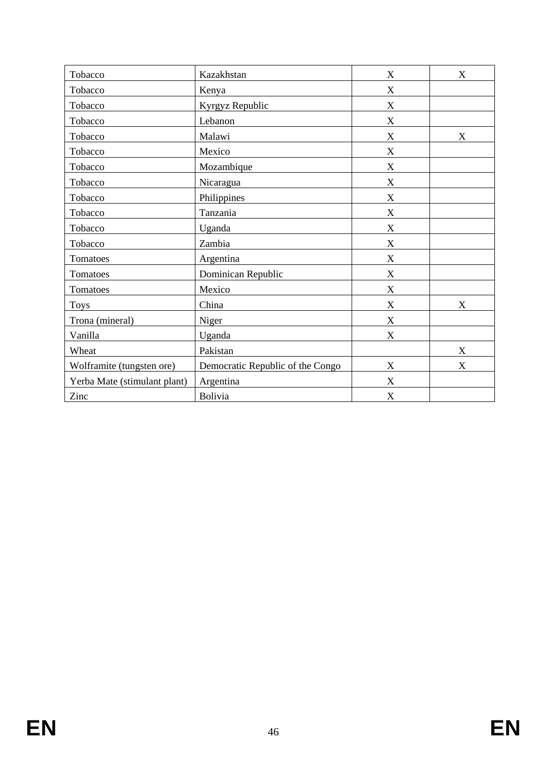| Tobacco                      | Kazakhstan                       | X                         | X                         |
|------------------------------|----------------------------------|---------------------------|---------------------------|
| Tobacco                      | Kenya                            | X                         |                           |
| Tobacco                      | Kyrgyz Republic                  | X                         |                           |
| Tobacco                      | Lebanon                          | X                         |                           |
| Tobacco                      | Malawi                           | X                         | X                         |
| Tobacco                      | Mexico                           | X                         |                           |
| Tobacco                      | Mozambique                       | X                         |                           |
| Tobacco                      | Nicaragua                        | X                         |                           |
| Tobacco                      | Philippines                      | X                         |                           |
| Tobacco                      | Tanzania                         | X                         |                           |
| Tobacco                      | Uganda                           | X                         |                           |
| Tobacco                      | Zambia                           | $\boldsymbol{\mathrm{X}}$ |                           |
| Tomatoes                     | Argentina                        | X                         |                           |
| Tomatoes                     | Dominican Republic               | X                         |                           |
| Tomatoes                     | Mexico                           | X                         |                           |
| <b>Toys</b>                  | China                            | X                         | $\boldsymbol{\mathrm{X}}$ |
| Trona (mineral)              | Niger                            | X                         |                           |
| Vanilla                      | Uganda                           | X                         |                           |
| Wheat                        | Pakistan                         |                           | X                         |
| Wolframite (tungsten ore)    | Democratic Republic of the Congo | X                         | X                         |
| Yerba Mate (stimulant plant) | Argentina                        | X                         |                           |
| Zinc                         | <b>Bolivia</b>                   | X                         |                           |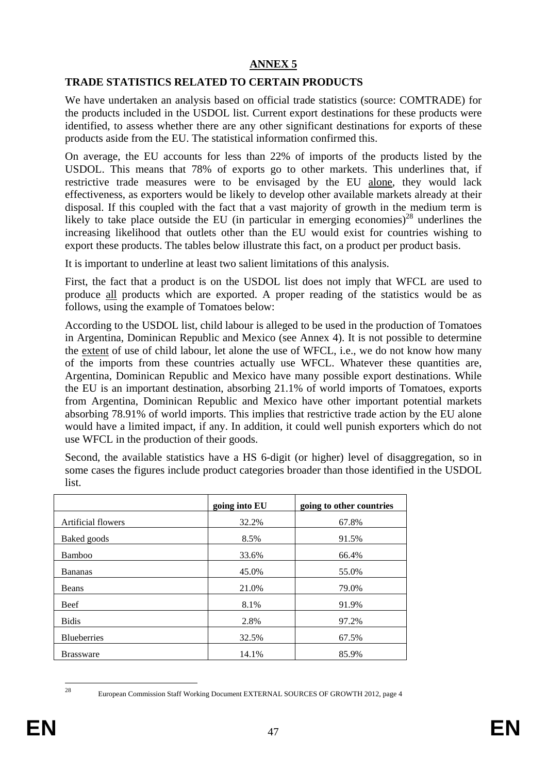## **ANNEX 5**

#### **TRADE STATISTICS RELATED TO CERTAIN PRODUCTS**

We have undertaken an analysis based on official trade statistics (source: COMTRADE) for the products included in the USDOL list. Current export destinations for these products were identified, to assess whether there are any other significant destinations for exports of these products aside from the EU. The statistical information confirmed this.

On average, the EU accounts for less than 22% of imports of the products listed by the USDOL. This means that 78% of exports go to other markets. This underlines that, if restrictive trade measures were to be envisaged by the EU alone, they would lack effectiveness, as exporters would be likely to develop other available markets already at their disposal. If this coupled with the fact that a vast majority of growth in the medium term is likely to take place outside the EU (in particular in emerging economies)<sup>28</sup> underlines the increasing likelihood that outlets other than the EU would exist for countries wishing to export these products. The tables below illustrate this fact, on a product per product basis.

It is important to underline at least two salient limitations of this analysis.

First, the fact that a product is on the USDOL list does not imply that WFCL are used to produce all products which are exported. A proper reading of the statistics would be as follows, using the example of Tomatoes below:

According to the USDOL list, child labour is alleged to be used in the production of Tomatoes in Argentina, Dominican Republic and Mexico (see Annex 4). It is not possible to determine the extent of use of child labour, let alone the use of WFCL, i.e., we do not know how many of the imports from these countries actually use WFCL. Whatever these quantities are, Argentina, Dominican Republic and Mexico have many possible export destinations. While the EU is an important destination, absorbing 21.1% of world imports of Tomatoes, exports from Argentina, Dominican Republic and Mexico have other important potential markets absorbing 78.91% of world imports. This implies that restrictive trade action by the EU alone would have a limited impact, if any. In addition, it could well punish exporters which do not use WFCL in the production of their goods.

Second, the available statistics have a HS 6-digit (or higher) level of disaggregation, so in some cases the figures include product categories broader than those identified in the USDOL list.

|                    | going into EU | going to other countries |
|--------------------|---------------|--------------------------|
| Artificial flowers | 32.2%         | 67.8%                    |
| Baked goods        | 8.5%          | 91.5%                    |
| Bamboo             | 33.6%         | 66.4%                    |
| <b>Bananas</b>     | 45.0%         | 55.0%                    |
| Beans              | 21.0%         | 79.0%                    |
| Beef               | 8.1%          | 91.9%                    |
| <b>Bidis</b>       | 2.8%          | 97.2%                    |
| <b>Blueberries</b> | 32.5%         | 67.5%                    |
| <b>Brassware</b>   | 14.1%         | 85.9%                    |

<sup>28</sup> 

European Commission Staff Working Document EXTERNAL SOURCES OF GROWTH 2012, page 4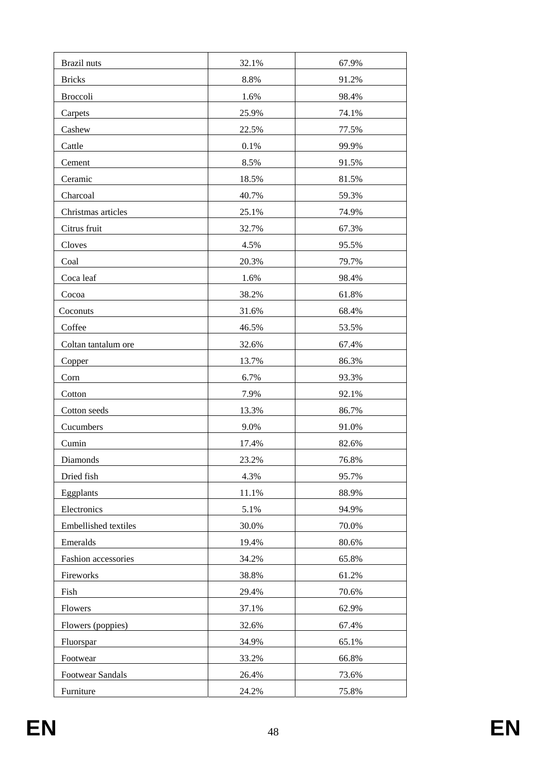| <b>Brazil</b> nuts      |       |       |
|-------------------------|-------|-------|
|                         | 32.1% | 67.9% |
| <b>Bricks</b>           | 8.8%  | 91.2% |
| Broccoli                | 1.6%  | 98.4% |
| Carpets                 | 25.9% | 74.1% |
| Cashew                  | 22.5% | 77.5% |
| Cattle                  | 0.1%  | 99.9% |
| Cement                  | 8.5%  | 91.5% |
| Ceramic                 | 18.5% | 81.5% |
| Charcoal                | 40.7% | 59.3% |
| Christmas articles      | 25.1% | 74.9% |
| Citrus fruit            | 32.7% | 67.3% |
| Cloves                  | 4.5%  | 95.5% |
| Coal                    | 20.3% | 79.7% |
| Coca leaf               | 1.6%  | 98.4% |
| Cocoa                   | 38.2% | 61.8% |
| Coconuts                | 31.6% | 68.4% |
| Coffee                  | 46.5% | 53.5% |
| Coltan tantalum ore     | 32.6% | 67.4% |
| Copper                  | 13.7% | 86.3% |
| Corn                    | 6.7%  | 93.3% |
| Cotton                  | 7.9%  | 92.1% |
| Cotton seeds            | 13.3% | 86.7% |
| Cucumbers               | 9.0%  | 91.0% |
| Cumin                   | 17.4% | 82.6% |
| Diamonds                | 23.2% | 76.8% |
| Dried fish              | 4.3%  | 95.7% |
| Eggplants               | 11.1% | 88.9% |
| Electronics             | 5.1%  | 94.9% |
| Embellished textiles    | 30.0% | 70.0% |
| Emeralds                | 19.4% | 80.6% |
| Fashion accessories     | 34.2% | 65.8% |
| Fireworks               | 38.8% | 61.2% |
| Fish                    | 29.4% | 70.6% |
| Flowers                 | 37.1% | 62.9% |
| Flowers (poppies)       | 32.6% | 67.4% |
| Fluorspar               | 34.9% | 65.1% |
| Footwear                | 33.2% | 66.8% |
| <b>Footwear Sandals</b> | 26.4% | 73.6% |
| Furniture               | 24.2% | 75.8% |
|                         |       |       |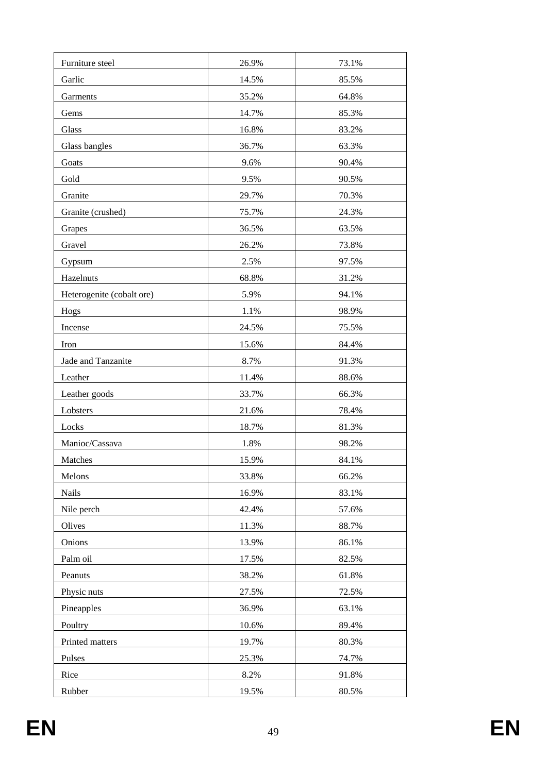| Furniture steel           | 26.9% | 73.1% |
|---------------------------|-------|-------|
| Garlic                    | 14.5% | 85.5% |
| Garments                  | 35.2% | 64.8% |
| Gems                      | 14.7% | 85.3% |
| Glass                     | 16.8% | 83.2% |
| Glass bangles             | 36.7% | 63.3% |
| Goats                     | 9.6%  | 90.4% |
| Gold                      | 9.5%  | 90.5% |
| Granite                   | 29.7% | 70.3% |
| Granite (crushed)         | 75.7% | 24.3% |
| Grapes                    | 36.5% | 63.5% |
| Gravel                    | 26.2% | 73.8% |
| Gypsum                    | 2.5%  | 97.5% |
| Hazelnuts                 | 68.8% | 31.2% |
| Heterogenite (cobalt ore) | 5.9%  | 94.1% |
| Hogs                      | 1.1%  | 98.9% |
| Incense                   | 24.5% | 75.5% |
| Iron                      | 15.6% | 84.4% |
| Jade and Tanzanite        | 8.7%  | 91.3% |
| Leather                   | 11.4% | 88.6% |
| Leather goods             | 33.7% | 66.3% |
| Lobsters                  | 21.6% | 78.4% |
| Locks                     | 18.7% | 81.3% |
| Manioc/Cassava            | 1.8%  | 98.2% |
| Matches                   | 15.9% | 84.1% |
| Melons                    | 33.8% | 66.2% |
| Nails                     | 16.9% | 83.1% |
| Nile perch                | 42.4% | 57.6% |
| Olives                    | 11.3% | 88.7% |
| Onions                    | 13.9% | 86.1% |
| Palm oil                  | 17.5% | 82.5% |
| Peanuts                   | 38.2% | 61.8% |
| Physic nuts               | 27.5% | 72.5% |
| Pineapples                | 36.9% | 63.1% |
| Poultry                   | 10.6% | 89.4% |
| Printed matters           | 19.7% | 80.3% |
| Pulses                    | 25.3% | 74.7% |
| Rice                      | 8.2%  | 91.8% |
| Rubber                    | 19.5% | 80.5% |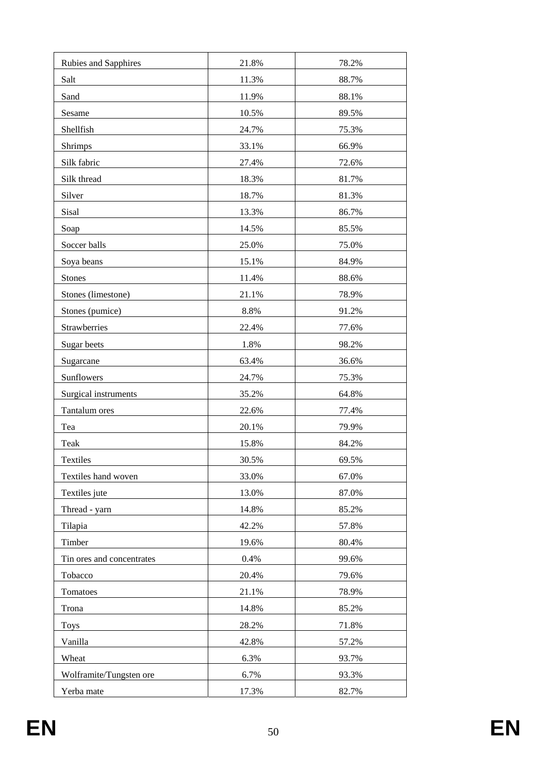| Rubies and Sapphires      | 21.8% | 78.2% |
|---------------------------|-------|-------|
| Salt                      | 11.3% | 88.7% |
| Sand                      | 11.9% | 88.1% |
| Sesame                    | 10.5% | 89.5% |
| Shellfish                 | 24.7% | 75.3% |
| Shrimps                   | 33.1% | 66.9% |
| Silk fabric               | 27.4% | 72.6% |
| Silk thread               | 18.3% | 81.7% |
| Silver                    | 18.7% | 81.3% |
| Sisal                     | 13.3% | 86.7% |
| Soap                      | 14.5% | 85.5% |
| Soccer balls              | 25.0% | 75.0% |
| Soya beans                | 15.1% | 84.9% |
| <b>Stones</b>             | 11.4% | 88.6% |
| Stones (limestone)        | 21.1% | 78.9% |
| Stones (pumice)           | 8.8%  | 91.2% |
| Strawberries              | 22.4% | 77.6% |
| Sugar beets               | 1.8%  | 98.2% |
| Sugarcane                 | 63.4% | 36.6% |
| Sunflowers                | 24.7% | 75.3% |
| Surgical instruments      | 35.2% | 64.8% |
| Tantalum ores             | 22.6% | 77.4% |
| Tea                       | 20.1% | 79.9% |
| Teak                      | 15.8% | 84.2% |
| Textiles                  | 30.5% | 69.5% |
| Textiles hand woven       | 33.0% | 67.0% |
| Textiles jute             | 13.0% | 87.0% |
| Thread - yarn             | 14.8% | 85.2% |
| Tilapia                   | 42.2% | 57.8% |
| Timber                    | 19.6% | 80.4% |
| Tin ores and concentrates | 0.4%  | 99.6% |
| Tobacco                   | 20.4% | 79.6% |
| Tomatoes                  | 21.1% | 78.9% |
| Trona                     | 14.8% | 85.2% |
| <b>Toys</b>               | 28.2% | 71.8% |
| Vanilla                   | 42.8% | 57.2% |
| Wheat                     | 6.3%  | 93.7% |
| Wolframite/Tungsten ore   | 6.7%  | 93.3% |
| Yerba mate                | 17.3% | 82.7% |